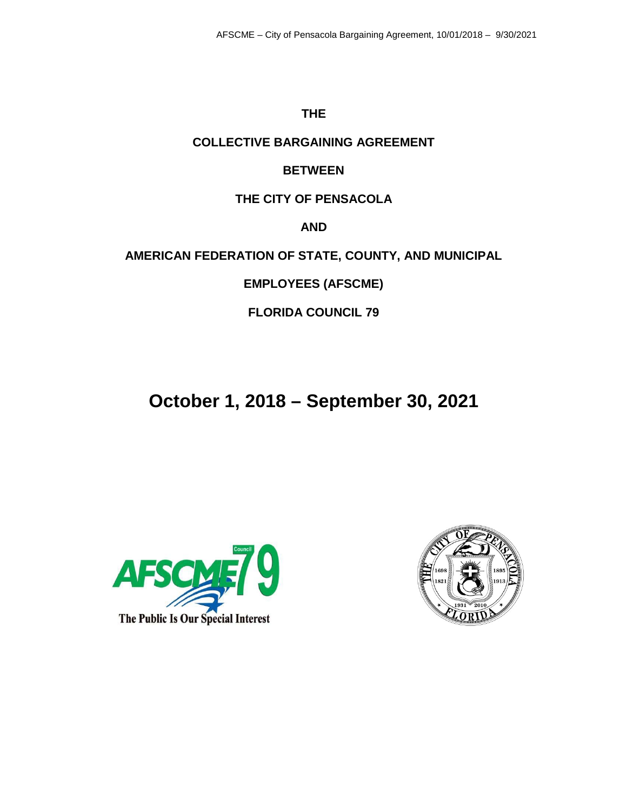## **THE**

## **COLLECTIVE BARGAINING AGREEMENT**

# **BETWEEN**

# **THE CITY OF PENSACOLA**

**AND**

**AMERICAN FEDERATION OF STATE, COUNTY, AND MUNICIPAL** 

**EMPLOYEES (AFSCME)**

**FLORIDA COUNCIL 79**

# **October 1, 2018 – September 30, 2021**



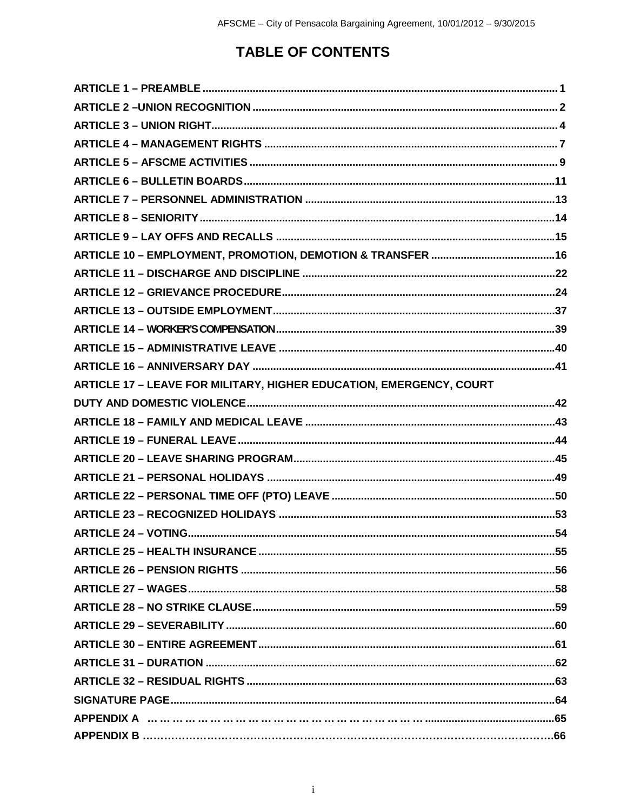# **TABLE OF CONTENTS**

| ARTICLE 17 - LEAVE FOR MILITARY, HIGHER EDUCATION, EMERGENCY, COURT |  |
|---------------------------------------------------------------------|--|
|                                                                     |  |
|                                                                     |  |
|                                                                     |  |
|                                                                     |  |
|                                                                     |  |
|                                                                     |  |
|                                                                     |  |
|                                                                     |  |
|                                                                     |  |
|                                                                     |  |
|                                                                     |  |
|                                                                     |  |
|                                                                     |  |
|                                                                     |  |
|                                                                     |  |
|                                                                     |  |
|                                                                     |  |
|                                                                     |  |
|                                                                     |  |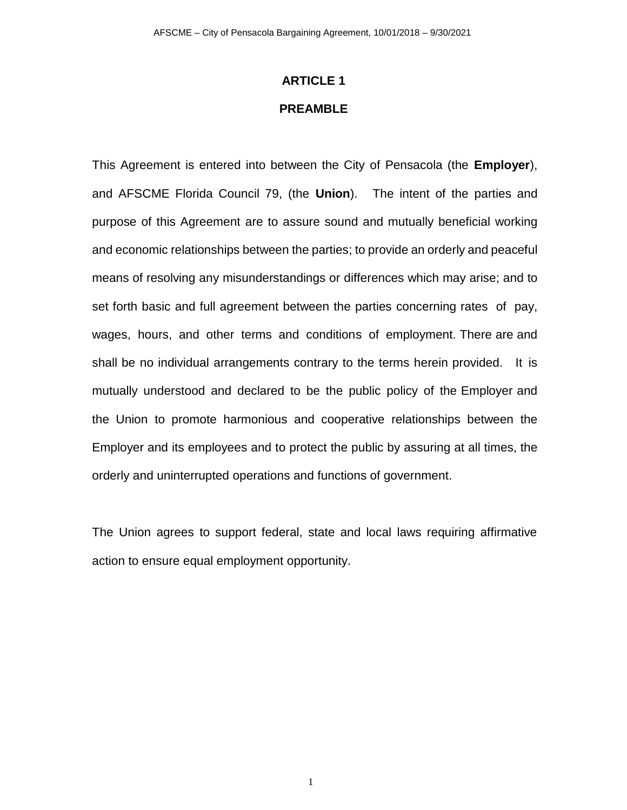# **ARTICLE 1 PREAMBLE**

This Agreement is entered into between the City of Pensacola (the **Employer**), and AFSCME Florida Council 79, (the **Union**). The intent of the parties and purpose of this Agreement are to assure sound and mutually beneficial working and economic relationships between the parties; to provide an orderly and peaceful means of resolving any misunderstandings or differences which may arise; and to set forth basic and full agreement between the parties concerning rates of pay, wages, hours, and other terms and conditions of employment. There are and shall be no individual arrangements contrary to the terms herein provided. It is mutually understood and declared to be the public policy of the Employer and the Union to promote harmonious and cooperative relationships between the Employer and its employees and to protect the public by assuring at all times, the orderly and uninterrupted operations and functions of government.

The Union agrees to support federal, state and local laws requiring affirmative action to ensure equal employment opportunity.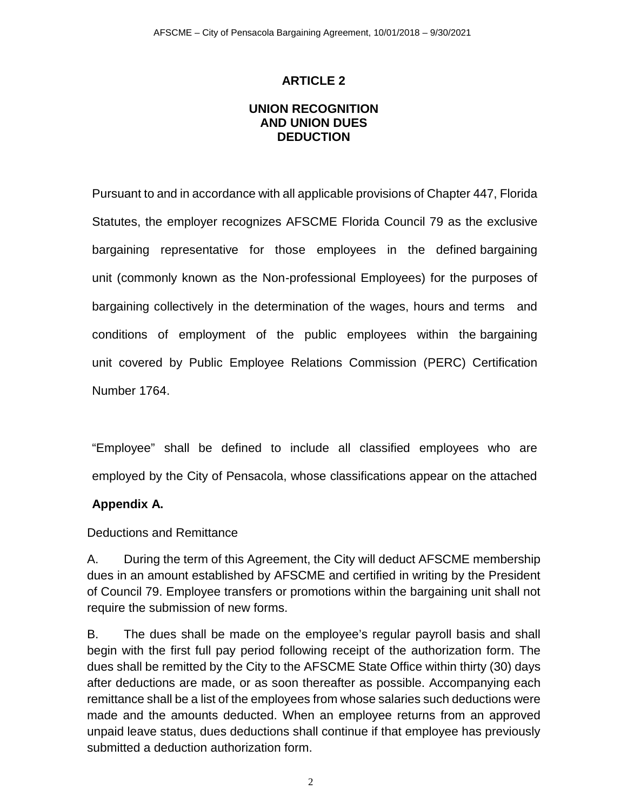## **UNION RECOGNITION AND UNION DUES DEDUCTION**

Pursuant to and in accordance with all applicable provisions of Chapter 447, Florida Statutes, the employer recognizes AFSCME Florida Council 79 as the exclusive bargaining representative for those employees in the defined bargaining unit (commonly known as the Non-professional Employees) for the purposes of bargaining collectively in the determination of the wages, hours and terms and conditions of employment of the public employees within the bargaining unit covered by Public Employee Relations Commission (PERC) Certification Number 1764.

"Employee" shall be defined to include all classified employees who are employed by the City of Pensacola, whose classifications appear on the attached

## **Appendix A.**

Deductions and Remittance

A. During the term of this Agreement, the City will deduct AFSCME membership dues in an amount established by AFSCME and certified in writing by the President of Council 79. Employee transfers or promotions within the bargaining unit shall not require the submission of new forms.

B. The dues shall be made on the employee's regular payroll basis and shall begin with the first full pay period following receipt of the authorization form. The dues shall be remitted by the City to the AFSCME State Office within thirty (30) days after deductions are made, or as soon thereafter as possible. Accompanying each remittance shall be a list of the employees from whose salaries such deductions were made and the amounts deducted. When an employee returns from an approved unpaid leave status, dues deductions shall continue if that employee has previously submitted a deduction authorization form.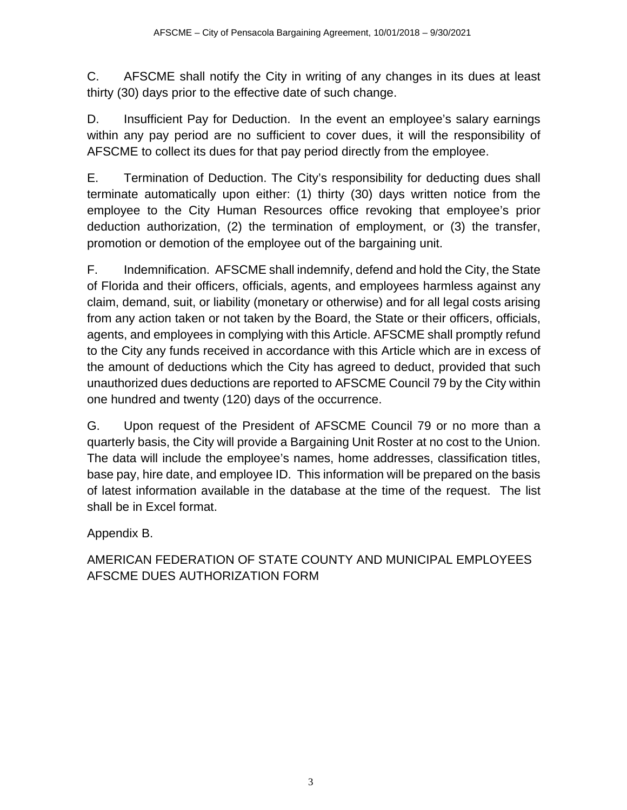C. AFSCME shall notify the City in writing of any changes in its dues at least thirty (30) days prior to the effective date of such change.

D. Insufficient Pay for Deduction. In the event an employee's salary earnings within any pay period are no sufficient to cover dues, it will the responsibility of AFSCME to collect its dues for that pay period directly from the employee.

E. Termination of Deduction. The City's responsibility for deducting dues shall terminate automatically upon either: (1) thirty (30) days written notice from the employee to the City Human Resources office revoking that employee's prior deduction authorization, (2) the termination of employment, or (3) the transfer, promotion or demotion of the employee out of the bargaining unit.

F. Indemnification. AFSCME shall indemnify, defend and hold the City, the State of Florida and their officers, officials, agents, and employees harmless against any claim, demand, suit, or liability (monetary or otherwise) and for all legal costs arising from any action taken or not taken by the Board, the State or their officers, officials, agents, and employees in complying with this Article. AFSCME shall promptly refund to the City any funds received in accordance with this Article which are in excess of the amount of deductions which the City has agreed to deduct, provided that such unauthorized dues deductions are reported to AFSCME Council 79 by the City within one hundred and twenty (120) days of the occurrence.

G. Upon request of the President of AFSCME Council 79 or no more than a quarterly basis, the City will provide a Bargaining Unit Roster at no cost to the Union. The data will include the employee's names, home addresses, classification titles, base pay, hire date, and employee ID. This information will be prepared on the basis of latest information available in the database at the time of the request. The list shall be in Excel format.

Appendix B.

AMERICAN FEDERATION OF STATE COUNTY AND MUNICIPAL EMPLOYEES AFSCME DUES AUTHORIZATION FORM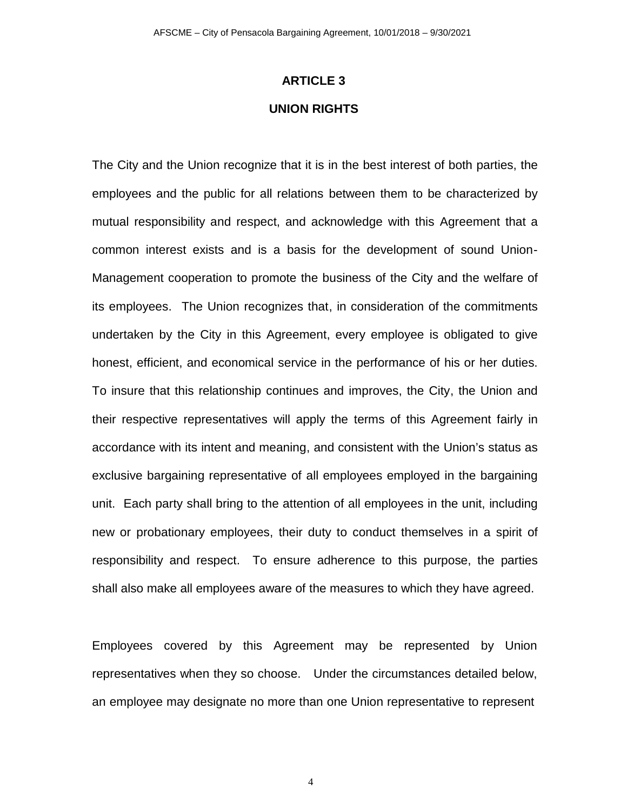# **ARTICLE 3 UNION RIGHTS**

The City and the Union recognize that it is in the best interest of both parties, the employees and the public for all relations between them to be characterized by mutual responsibility and respect, and acknowledge with this Agreement that a common interest exists and is a basis for the development of sound Union-Management cooperation to promote the business of the City and the welfare of its employees. The Union recognizes that, in consideration of the commitments undertaken by the City in this Agreement, every employee is obligated to give honest, efficient, and economical service in the performance of his or her duties. To insure that this relationship continues and improves, the City, the Union and their respective representatives will apply the terms of this Agreement fairly in accordance with its intent and meaning, and consistent with the Union's status as exclusive bargaining representative of all employees employed in the bargaining unit. Each party shall bring to the attention of all employees in the unit, including new or probationary employees, their duty to conduct themselves in a spirit of responsibility and respect. To ensure adherence to this purpose, the parties shall also make all employees aware of the measures to which they have agreed.

Employees covered by this Agreement may be represented by Union representatives when they so choose. Under the circumstances detailed below, an employee may designate no more than one Union representative to represent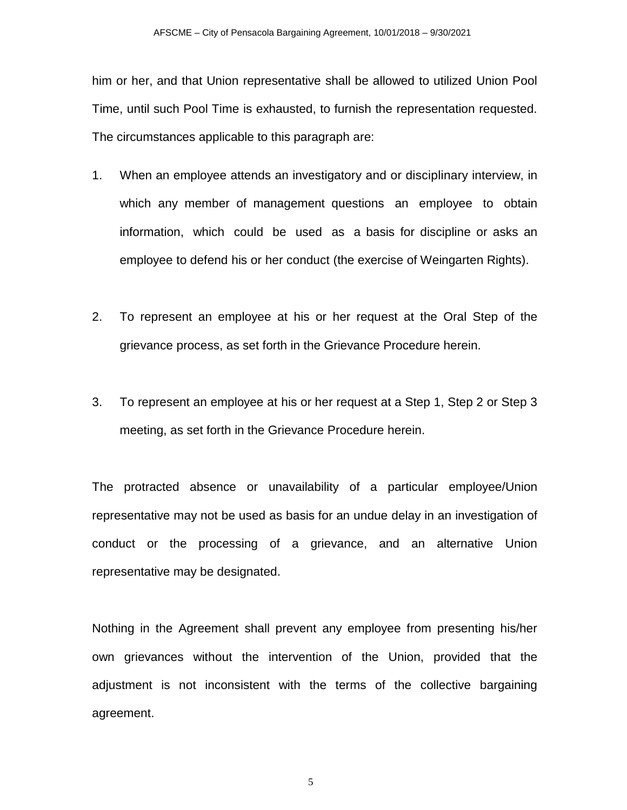him or her, and that Union representative shall be allowed to utilized Union Pool Time, until such Pool Time is exhausted, to furnish the representation requested. The circumstances applicable to this paragraph are:

- 1. When an employee attends an investigatory and or disciplinary interview, in which any member of management questions an employee to obtain information, which could be used as a basis for discipline or asks an employee to defend his or her conduct (the exercise of Weingarten Rights).
- 2. To represent an employee at his or her request at the Oral Step of the grievance process, as set forth in the Grievance Procedure herein.
- 3. To represent an employee at his or her request at a Step 1, Step 2 or Step 3 meeting, as set forth in the Grievance Procedure herein.

The protracted absence or unavailability of a particular employee/Union representative may not be used as basis for an undue delay in an investigation of conduct or the processing of a grievance, and an alternative Union representative may be designated.

Nothing in the Agreement shall prevent any employee from presenting his/her own grievances without the intervention of the Union, provided that the adjustment is not inconsistent with the terms of the collective bargaining agreement.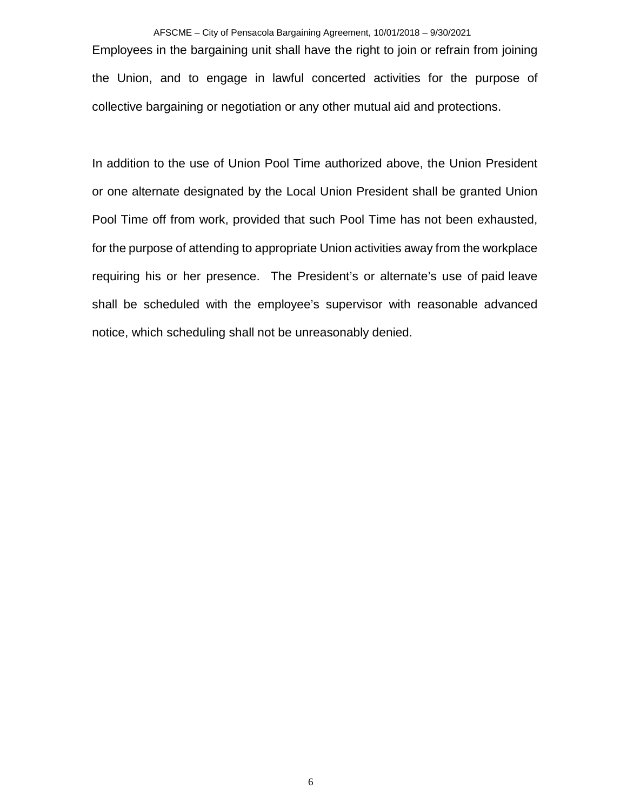AFSCME – City of Pensacola Bargaining Agreement, 10/01/2018 – 9/30/2021 Employees in the bargaining unit shall have the right to join or refrain from joining the Union, and to engage in lawful concerted activities for the purpose of collective bargaining or negotiation or any other mutual aid and protections.

In addition to the use of Union Pool Time authorized above, the Union President or one alternate designated by the Local Union President shall be granted Union Pool Time off from work, provided that such Pool Time has not been exhausted, for the purpose of attending to appropriate Union activities away from the workplace requiring his or her presence. The President's or alternate's use of paid leave shall be scheduled with the employee's supervisor with reasonable advanced notice, which scheduling shall not be unreasonably denied.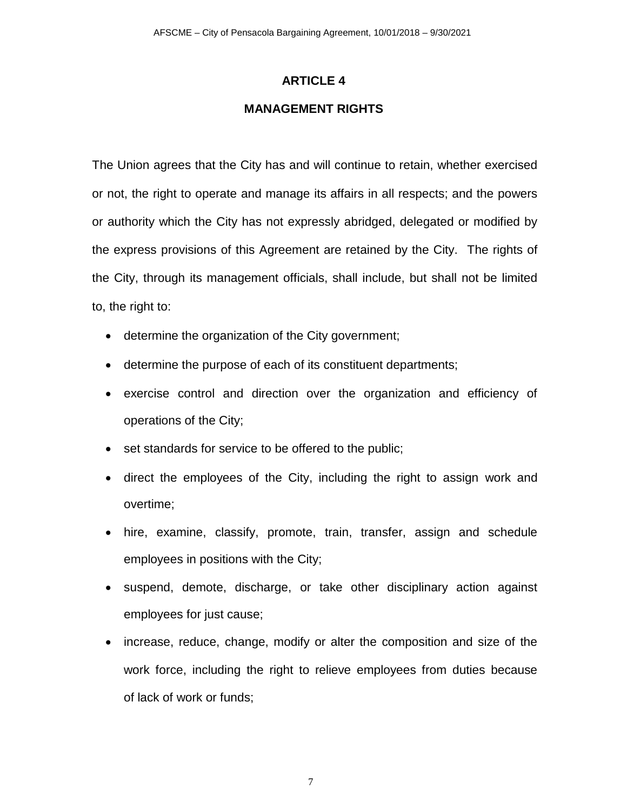## **MANAGEMENT RIGHTS**

The Union agrees that the City has and will continue to retain, whether exercised or not, the right to operate and manage its affairs in all respects; and the powers or authority which the City has not expressly abridged, delegated or modified by the express provisions of this Agreement are retained by the City. The rights of the City, through its management officials, shall include, but shall not be limited to, the right to:

- determine the organization of the City government;
- determine the purpose of each of its constituent departments;
- exercise control and direction over the organization and efficiency of operations of the City;
- set standards for service to be offered to the public;
- direct the employees of the City, including the right to assign work and overtime;
- hire, examine, classify, promote, train, transfer, assign and schedule employees in positions with the City;
- suspend, demote, discharge, or take other disciplinary action against employees for just cause;
- increase, reduce, change, modify or alter the composition and size of the work force, including the right to relieve employees from duties because of lack of work or funds;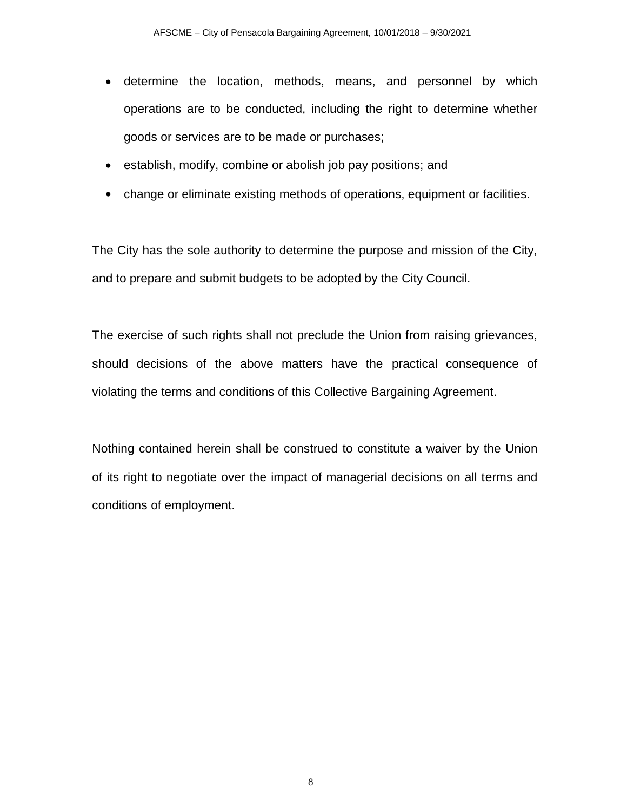- determine the location, methods, means, and personnel by which operations are to be conducted, including the right to determine whether goods or services are to be made or purchases;
- establish, modify, combine or abolish job pay positions; and
- change or eliminate existing methods of operations, equipment or facilities.

The City has the sole authority to determine the purpose and mission of the City, and to prepare and submit budgets to be adopted by the City Council.

The exercise of such rights shall not preclude the Union from raising grievances, should decisions of the above matters have the practical consequence of violating the terms and conditions of this Collective Bargaining Agreement.

Nothing contained herein shall be construed to constitute a waiver by the Union of its right to negotiate over the impact of managerial decisions on all terms and conditions of employment.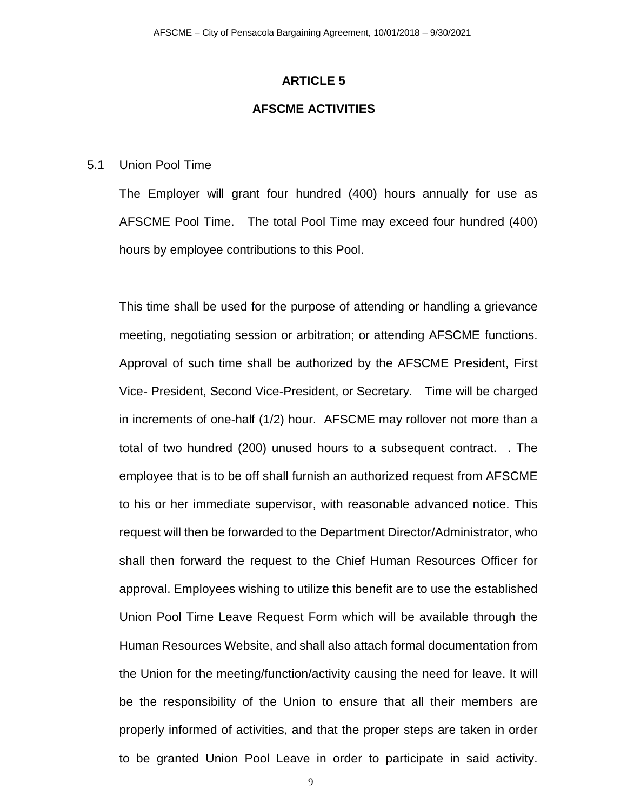### **AFSCME ACTIVITIES**

#### 5.1 Union Pool Time

The Employer will grant four hundred (400) hours annually for use as AFSCME Pool Time. The total Pool Time may exceed four hundred (400) hours by employee contributions to this Pool.

This time shall be used for the purpose of attending or handling a grievance meeting, negotiating session or arbitration; or attending AFSCME functions. Approval of such time shall be authorized by the AFSCME President, First Vice- President, Second Vice-President, or Secretary. Time will be charged in increments of one-half (1/2) hour. AFSCME may rollover not more than a total of two hundred (200) unused hours to a subsequent contract. . The employee that is to be off shall furnish an authorized request from AFSCME to his or her immediate supervisor, with reasonable advanced notice. This request will then be forwarded to the Department Director/Administrator, who shall then forward the request to the Chief Human Resources Officer for approval. Employees wishing to utilize this benefit are to use the established Union Pool Time Leave Request Form which will be available through the Human Resources Website, and shall also attach formal documentation from the Union for the meeting/function/activity causing the need for leave. It will be the responsibility of the Union to ensure that all their members are properly informed of activities, and that the proper steps are taken in order to be granted Union Pool Leave in order to participate in said activity.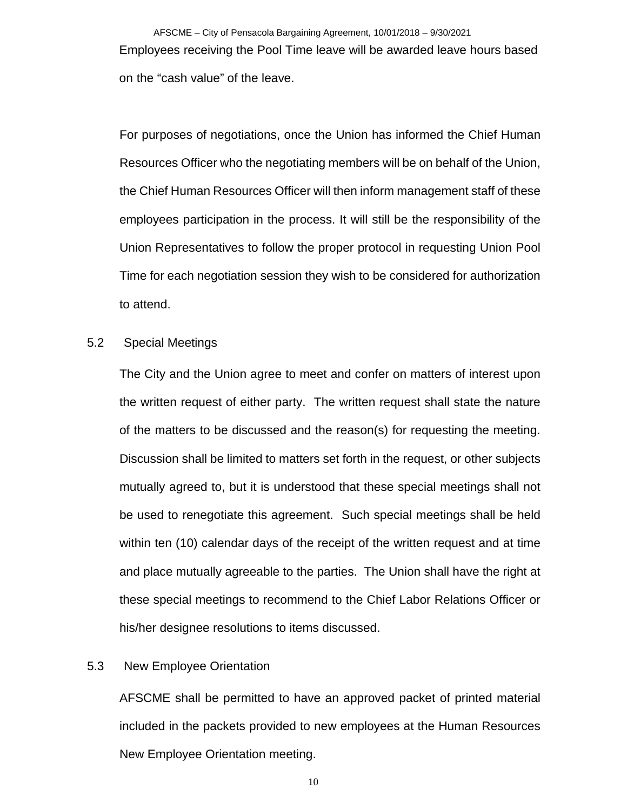AFSCME – City of Pensacola Bargaining Agreement, 10/01/2018 – 9/30/2021 Employees receiving the Pool Time leave will be awarded leave hours based on the "cash value" of the leave.

For purposes of negotiations, once the Union has informed the Chief Human Resources Officer who the negotiating members will be on behalf of the Union, the Chief Human Resources Officer will then inform management staff of these employees participation in the process. It will still be the responsibility of the Union Representatives to follow the proper protocol in requesting Union Pool Time for each negotiation session they wish to be considered for authorization to attend.

### 5.2 Special Meetings

The City and the Union agree to meet and confer on matters of interest upon the written request of either party. The written request shall state the nature of the matters to be discussed and the reason(s) for requesting the meeting. Discussion shall be limited to matters set forth in the request, or other subjects mutually agreed to, but it is understood that these special meetings shall not be used to renegotiate this agreement. Such special meetings shall be held within ten (10) calendar days of the receipt of the written request and at time and place mutually agreeable to the parties. The Union shall have the right at these special meetings to recommend to the Chief Labor Relations Officer or his/her designee resolutions to items discussed.

### 5.3 New Employee Orientation

AFSCME shall be permitted to have an approved packet of printed material included in the packets provided to new employees at the Human Resources New Employee Orientation meeting.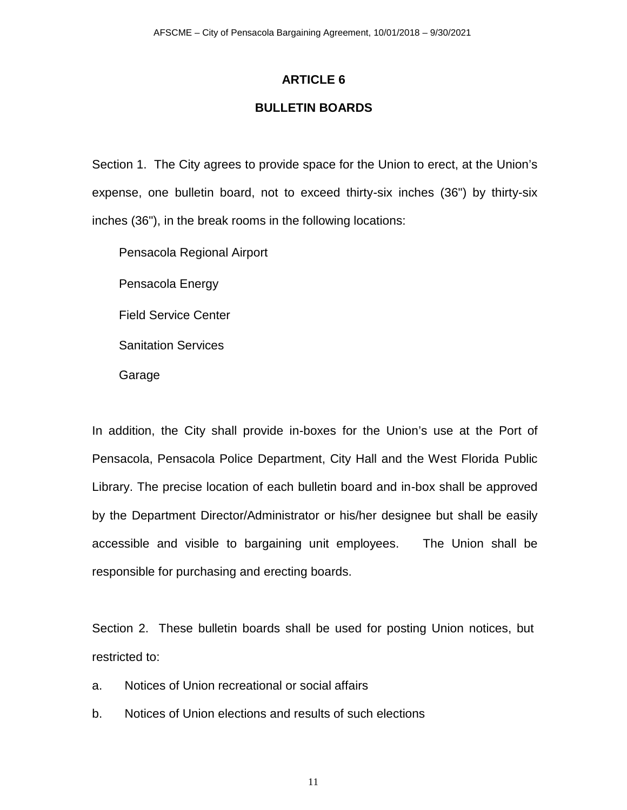## **BULLETIN BOARDS**

Section 1. The City agrees to provide space for the Union to erect, at the Union's expense, one bulletin board, not to exceed thirty-six inches (36") by thirty-six inches (36"), in the break rooms in the following locations:

Pensacola Regional Airport

Pensacola Energy

Field Service Center

Sanitation Services

Garage

In addition, the City shall provide in-boxes for the Union's use at the Port of Pensacola, Pensacola Police Department, City Hall and the West Florida Public Library. The precise location of each bulletin board and in-box shall be approved by the Department Director/Administrator or his/her designee but shall be easily accessible and visible to bargaining unit employees. The Union shall be responsible for purchasing and erecting boards.

Section 2. These bulletin boards shall be used for posting Union notices, but restricted to:

- a. Notices of Union recreational or social affairs
- b. Notices of Union elections and results of such elections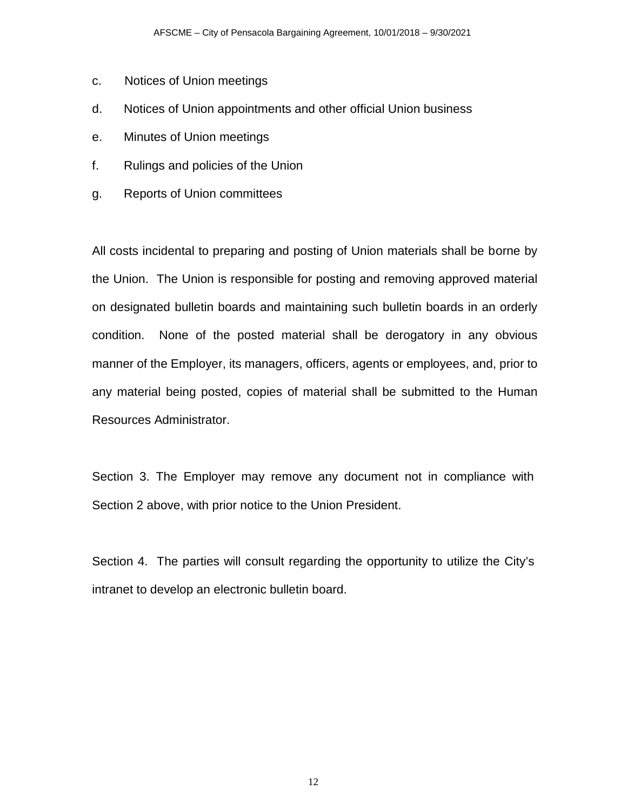- c. Notices of Union meetings
- d. Notices of Union appointments and other official Union business
- e. Minutes of Union meetings
- f. Rulings and policies of the Union
- g. Reports of Union committees

All costs incidental to preparing and posting of Union materials shall be borne by the Union. The Union is responsible for posting and removing approved material on designated bulletin boards and maintaining such bulletin boards in an orderly condition. None of the posted material shall be derogatory in any obvious manner of the Employer, its managers, officers, agents or employees, and, prior to any material being posted, copies of material shall be submitted to the Human Resources Administrator.

Section 3. The Employer may remove any document not in compliance with Section 2 above, with prior notice to the Union President.

Section 4. The parties will consult regarding the opportunity to utilize the City's intranet to develop an electronic bulletin board.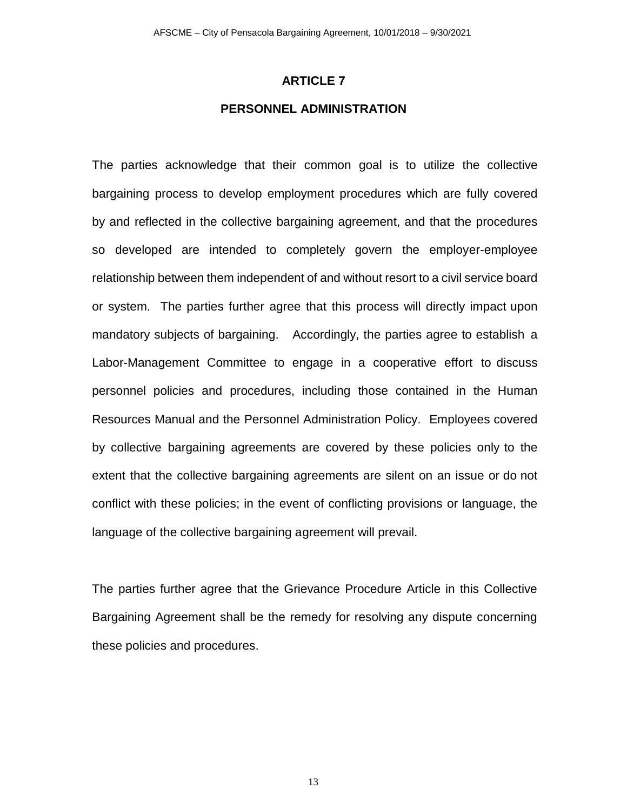### **PERSONNEL ADMINISTRATION**

The parties acknowledge that their common goal is to utilize the collective bargaining process to develop employment procedures which are fully covered by and reflected in the collective bargaining agreement, and that the procedures so developed are intended to completely govern the employer-employee relationship between them independent of and without resort to a civil service board or system. The parties further agree that this process will directly impact upon mandatory subjects of bargaining. Accordingly, the parties agree to establish a Labor-Management Committee to engage in a cooperative effort to discuss personnel policies and procedures, including those contained in the Human Resources Manual and the Personnel Administration Policy. Employees covered by collective bargaining agreements are covered by these policies only to the extent that the collective bargaining agreements are silent on an issue or do not conflict with these policies; in the event of conflicting provisions or language, the language of the collective bargaining agreement will prevail.

The parties further agree that the Grievance Procedure Article in this Collective Bargaining Agreement shall be the remedy for resolving any dispute concerning these policies and procedures.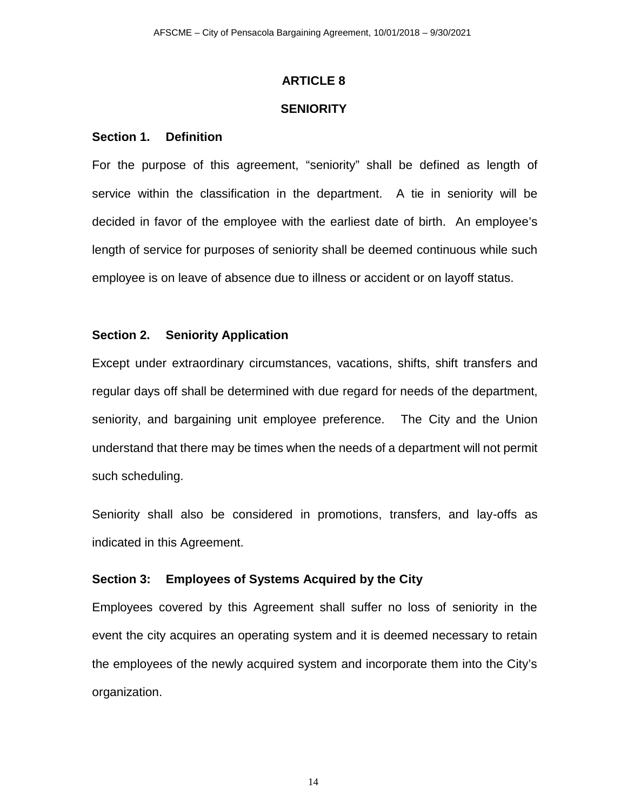### **SENIORITY**

### **Section 1. Definition**

For the purpose of this agreement, "seniority" shall be defined as length of service within the classification in the department. A tie in seniority will be decided in favor of the employee with the earliest date of birth. An employee's length of service for purposes of seniority shall be deemed continuous while such employee is on leave of absence due to illness or accident or on layoff status.

#### **Section 2. Seniority Application**

Except under extraordinary circumstances, vacations, shifts, shift transfers and regular days off shall be determined with due regard for needs of the department, seniority, and bargaining unit employee preference. The City and the Union understand that there may be times when the needs of a department will not permit such scheduling.

Seniority shall also be considered in promotions, transfers, and lay-offs as indicated in this Agreement.

### **Section 3: Employees of Systems Acquired by the City**

Employees covered by this Agreement shall suffer no loss of seniority in the event the city acquires an operating system and it is deemed necessary to retain the employees of the newly acquired system and incorporate them into the City's organization.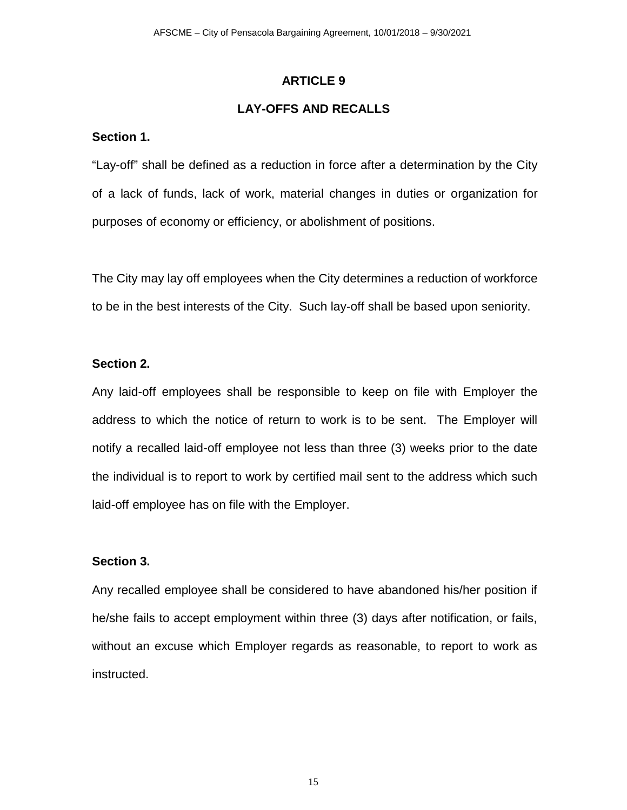## **LAY-OFFS AND RECALLS**

### **Section 1.**

"Lay-off" shall be defined as a reduction in force after a determination by the City of a lack of funds, lack of work, material changes in duties or organization for purposes of economy or efficiency, or abolishment of positions.

The City may lay off employees when the City determines a reduction of workforce to be in the best interests of the City. Such lay-off shall be based upon seniority.

### **Section 2.**

Any laid-off employees shall be responsible to keep on file with Employer the address to which the notice of return to work is to be sent. The Employer will notify a recalled laid-off employee not less than three (3) weeks prior to the date the individual is to report to work by certified mail sent to the address which such laid-off employee has on file with the Employer.

## **Section 3.**

Any recalled employee shall be considered to have abandoned his/her position if he/she fails to accept employment within three (3) days after notification, or fails, without an excuse which Employer regards as reasonable, to report to work as instructed.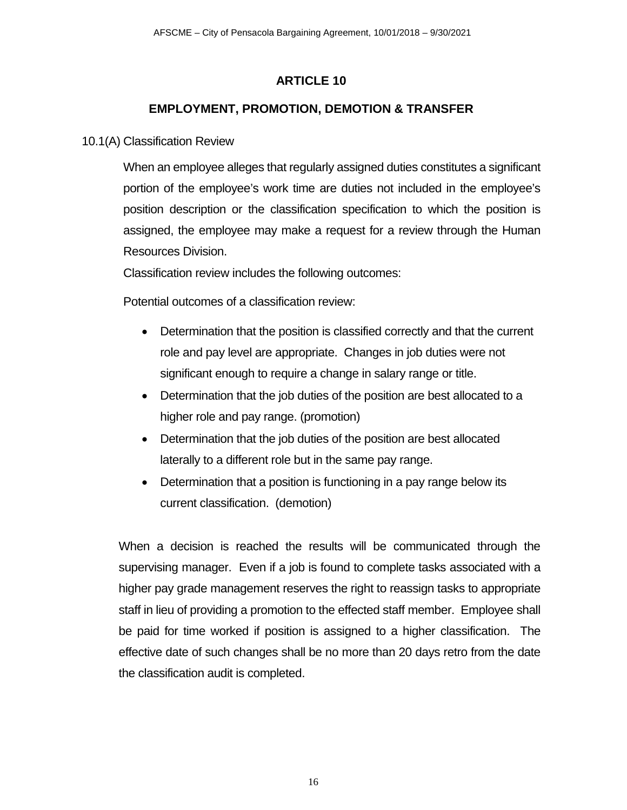# **EMPLOYMENT, PROMOTION, DEMOTION & TRANSFER**

## 10.1(A) Classification Review

 When an employee alleges that regularly assigned duties constitutes a significant portion of the employee's work time are duties not included in the employee's position description or the classification specification to which the position is assigned, the employee may make a request for a review through the Human Resources Division.

Classification review includes the following outcomes:

Potential outcomes of a classification review:

- Determination that the position is classified correctly and that the current role and pay level are appropriate. Changes in job duties were not significant enough to require a change in salary range or title.
- Determination that the job duties of the position are best allocated to a higher role and pay range. (promotion)
- Determination that the job duties of the position are best allocated laterally to a different role but in the same pay range.
- Determination that a position is functioning in a pay range below its current classification. (demotion)

When a decision is reached the results will be communicated through the supervising manager. Even if a job is found to complete tasks associated with a higher pay grade management reserves the right to reassign tasks to appropriate staff in lieu of providing a promotion to the effected staff member. Employee shall be paid for time worked if position is assigned to a higher classification. The effective date of such changes shall be no more than 20 days retro from the date the classification audit is completed.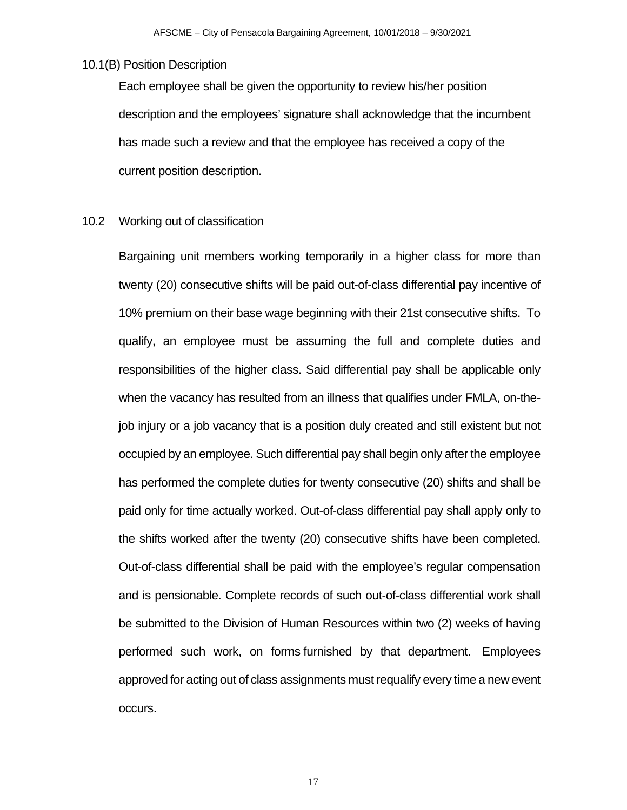10.1(B) Position Description

Each employee shall be given the opportunity to review his/her position description and the employees' signature shall acknowledge that the incumbent has made such a review and that the employee has received a copy of the current position description.

10.2 Working out of classification

Bargaining unit members working temporarily in a higher class for more than twenty (20) consecutive shifts will be paid out-of-class differential pay incentive of 10% premium on their base wage beginning with their 21st consecutive shifts. To qualify, an employee must be assuming the full and complete duties and responsibilities of the higher class. Said differential pay shall be applicable only when the vacancy has resulted from an illness that qualifies under FMLA, on-thejob injury or a job vacancy that is a position duly created and still existent but not occupied by an employee. Such differential pay shall begin only after the employee has performed the complete duties for twenty consecutive (20) shifts and shall be paid only for time actually worked. Out-of-class differential pay shall apply only to the shifts worked after the twenty (20) consecutive shifts have been completed. Out-of-class differential shall be paid with the employee's regular compensation and is pensionable. Complete records of such out-of-class differential work shall be submitted to the Division of Human Resources within two (2) weeks of having performed such work, on forms furnished by that department. Employees approved for acting out of class assignments must requalify every time a new event occurs.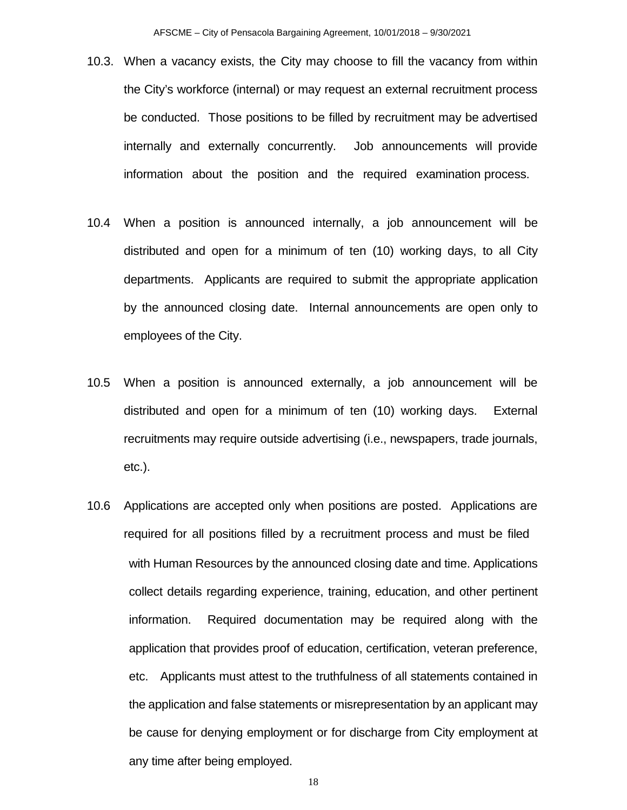- 10.3. When a vacancy exists, the City may choose to fill the vacancy from within the City's workforce (internal) or may request an external recruitment process be conducted. Those positions to be filled by recruitment may be advertised internally and externally concurrently. Job announcements will provide information about the position and the required examination process.
- 10.4 When a position is announced internally, a job announcement will be distributed and open for a minimum of ten (10) working days, to all City departments. Applicants are required to submit the appropriate application by the announced closing date. Internal announcements are open only to employees of the City.
- 10.5 When a position is announced externally, a job announcement will be distributed and open for a minimum of ten (10) working days. External recruitments may require outside advertising (i.e., newspapers, trade journals, etc.).
- 10.6 Applications are accepted only when positions are posted. Applications are required for all positions filled by a recruitment process and must be filed with Human Resources by the announced closing date and time. Applications collect details regarding experience, training, education, and other pertinent information. Required documentation may be required along with the application that provides proof of education, certification, veteran preference, etc. Applicants must attest to the truthfulness of all statements contained in the application and false statements or misrepresentation by an applicant may be cause for denying employment or for discharge from City employment at any time after being employed.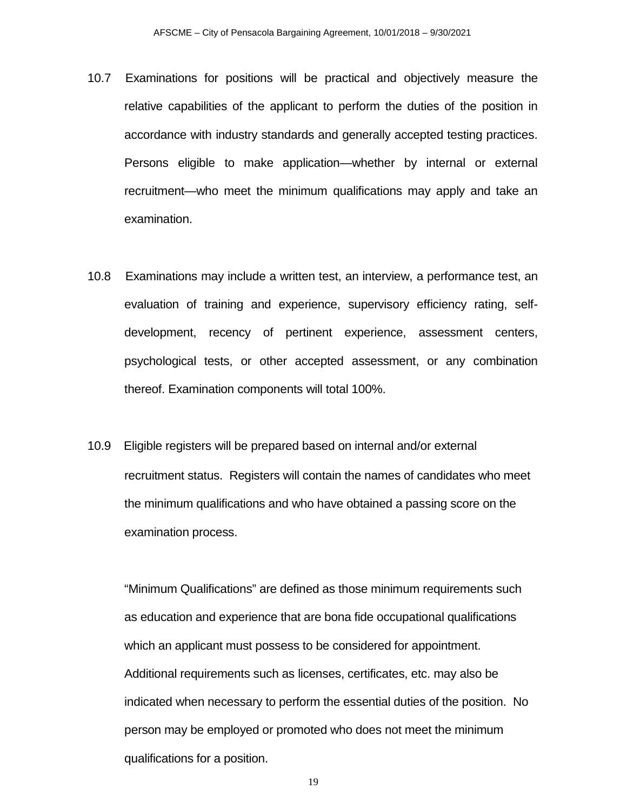- 10.7 Examinations for positions will be practical and objectively measure the relative capabilities of the applicant to perform the duties of the position in accordance with industry standards and generally accepted testing practices. Persons eligible to make application—whether by internal or external recruitment—who meet the minimum qualifications may apply and take an examination.
- 10.8 Examinations may include a written test, an interview, a performance test, an evaluation of training and experience, supervisory efficiency rating, selfdevelopment, recency of pertinent experience, assessment centers, psychological tests, or other accepted assessment, or any combination thereof. Examination components will total 100%.
- 10.9 Eligible registers will be prepared based on internal and/or external recruitment status. Registers will contain the names of candidates who meet the minimum qualifications and who have obtained a passing score on the examination process.

"Minimum Qualifications" are defined as those minimum requirements such as education and experience that are bona fide occupational qualifications which an applicant must possess to be considered for appointment. Additional requirements such as licenses, certificates, etc. may also be indicated when necessary to perform the essential duties of the position. No person may be employed or promoted who does not meet the minimum qualifications for a position.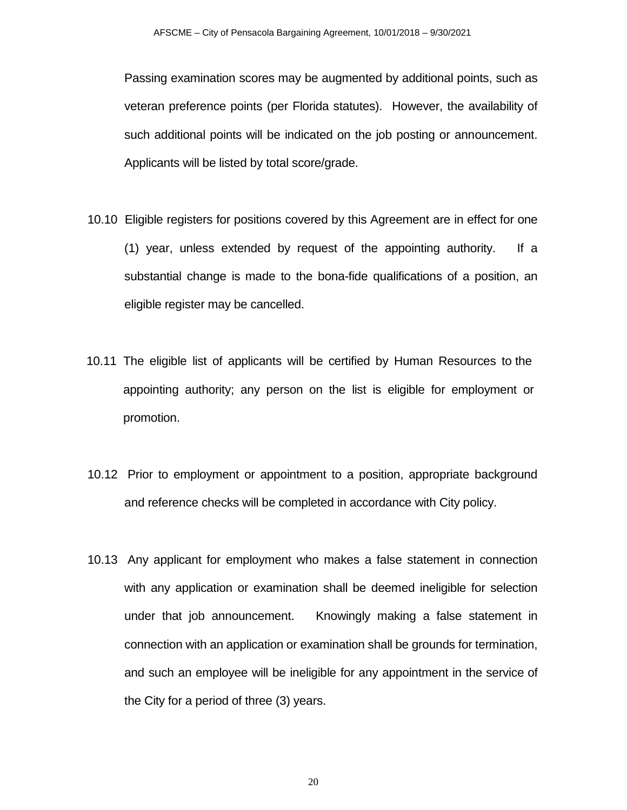Passing examination scores may be augmented by additional points, such as veteran preference points (per Florida statutes). However, the availability of such additional points will be indicated on the job posting or announcement. Applicants will be listed by total score/grade.

- 10.10 Eligible registers for positions covered by this Agreement are in effect for one (1) year, unless extended by request of the appointing authority. If a substantial change is made to the bona-fide qualifications of a position, an eligible register may be cancelled.
- 10.11 The eligible list of applicants will be certified by Human Resources to the appointing authority; any person on the list is eligible for employment or promotion.
- 10.12 Prior to employment or appointment to a position, appropriate background and reference checks will be completed in accordance with City policy.
- 10.13 Any applicant for employment who makes a false statement in connection with any application or examination shall be deemed ineligible for selection under that job announcement. Knowingly making a false statement in connection with an application or examination shall be grounds for termination, and such an employee will be ineligible for any appointment in the service of the City for a period of three (3) years.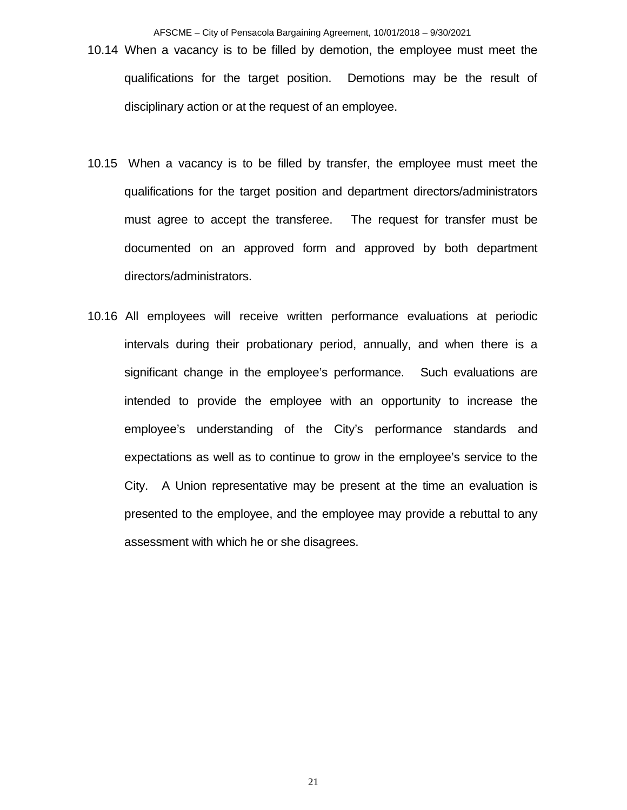AFSCME – City of Pensacola Bargaining Agreement, 10/01/2018 – 9/30/2021

- 10.14 When a vacancy is to be filled by demotion, the employee must meet the qualifications for the target position. Demotions may be the result of disciplinary action or at the request of an employee.
- 10.15 When a vacancy is to be filled by transfer, the employee must meet the qualifications for the target position and department directors/administrators must agree to accept the transferee. The request for transfer must be documented on an approved form and approved by both department directors/administrators.
- 10.16 All employees will receive written performance evaluations at periodic intervals during their probationary period, annually, and when there is a significant change in the employee's performance. Such evaluations are intended to provide the employee with an opportunity to increase the employee's understanding of the City's performance standards and expectations as well as to continue to grow in the employee's service to the City. A Union representative may be present at the time an evaluation is presented to the employee, and the employee may provide a rebuttal to any assessment with which he or she disagrees.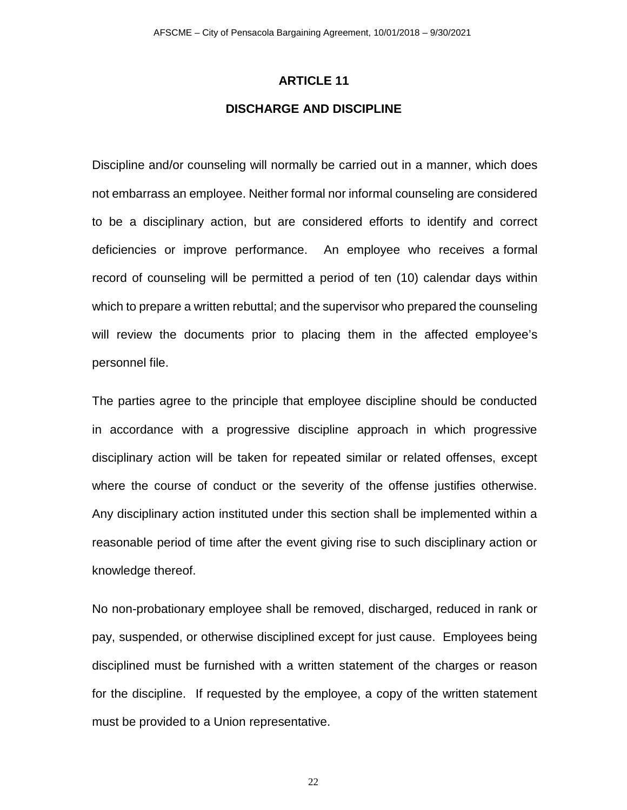# **ARTICLE 11 DISCHARGE AND DISCIPLINE**

Discipline and/or counseling will normally be carried out in a manner, which does not embarrass an employee. Neither formal nor informal counseling are considered to be a disciplinary action, but are considered efforts to identify and correct deficiencies or improve performance. An employee who receives a formal record of counseling will be permitted a period of ten (10) calendar days within which to prepare a written rebuttal; and the supervisor who prepared the counseling will review the documents prior to placing them in the affected employee's personnel file.

The parties agree to the principle that employee discipline should be conducted in accordance with a progressive discipline approach in which progressive disciplinary action will be taken for repeated similar or related offenses, except where the course of conduct or the severity of the offense justifies otherwise. Any disciplinary action instituted under this section shall be implemented within a reasonable period of time after the event giving rise to such disciplinary action or knowledge thereof.

No non-probationary employee shall be removed, discharged, reduced in rank or pay, suspended, or otherwise disciplined except for just cause. Employees being disciplined must be furnished with a written statement of the charges or reason for the discipline. If requested by the employee, a copy of the written statement must be provided to a Union representative.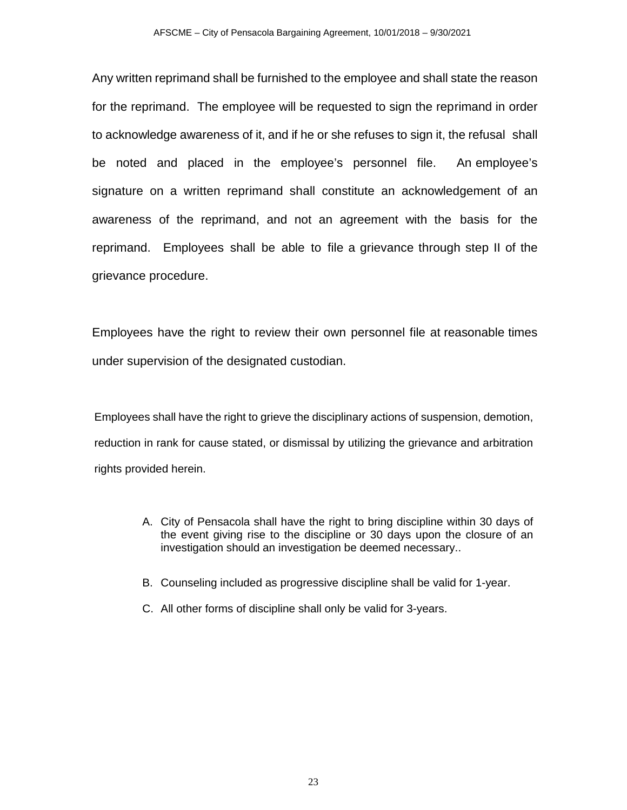Any written reprimand shall be furnished to the employee and shall state the reason for the reprimand. The employee will be requested to sign the reprimand in order to acknowledge awareness of it, and if he or she refuses to sign it, the refusal shall be noted and placed in the employee's personnel file. An employee's signature on a written reprimand shall constitute an acknowledgement of an awareness of the reprimand, and not an agreement with the basis for the reprimand. Employees shall be able to file a grievance through step II of the grievance procedure.

Employees have the right to review their own personnel file at reasonable times under supervision of the designated custodian.

Employees shall have the right to grieve the disciplinary actions of suspension, demotion, reduction in rank for cause stated, or dismissal by utilizing the grievance and arbitration rights provided herein.

- A. City of Pensacola shall have the right to bring discipline within 30 days of the event giving rise to the discipline or 30 days upon the closure of an investigation should an investigation be deemed necessary..
- B. Counseling included as progressive discipline shall be valid for 1-year.
- C. All other forms of discipline shall only be valid for 3-years.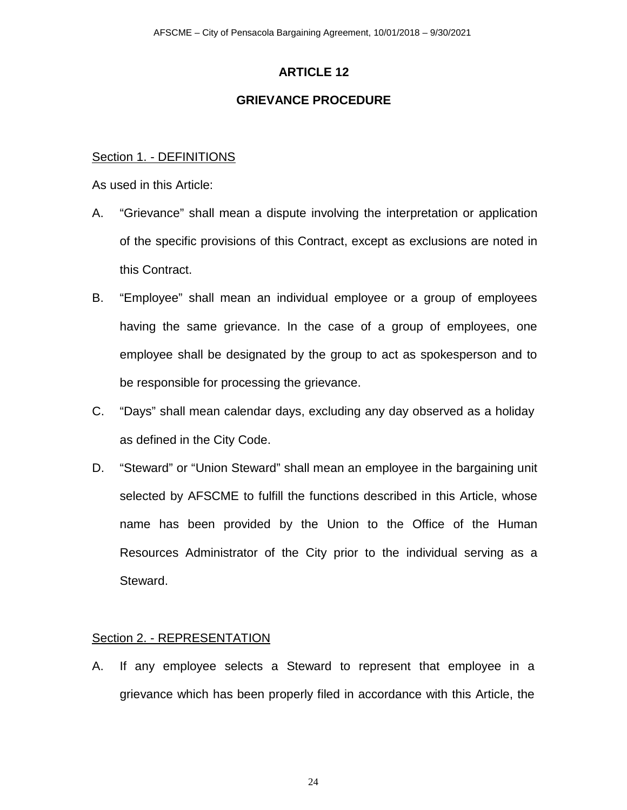## **GRIEVANCE PROCEDURE**

### Section 1. - DEFINITIONS

As used in this Article:

- A. "Grievance" shall mean a dispute involving the interpretation or application of the specific provisions of this Contract, except as exclusions are noted in this Contract.
- B. "Employee" shall mean an individual employee or a group of employees having the same grievance. In the case of a group of employees, one employee shall be designated by the group to act as spokesperson and to be responsible for processing the grievance.
- C. "Days" shall mean calendar days, excluding any day observed as a holiday as defined in the City Code.
- D. "Steward" or "Union Steward" shall mean an employee in the bargaining unit selected by AFSCME to fulfill the functions described in this Article, whose name has been provided by the Union to the Office of the Human Resources Administrator of the City prior to the individual serving as a Steward.

## Section 2. - REPRESENTATION

A. If any employee selects a Steward to represent that employee in a grievance which has been properly filed in accordance with this Article, the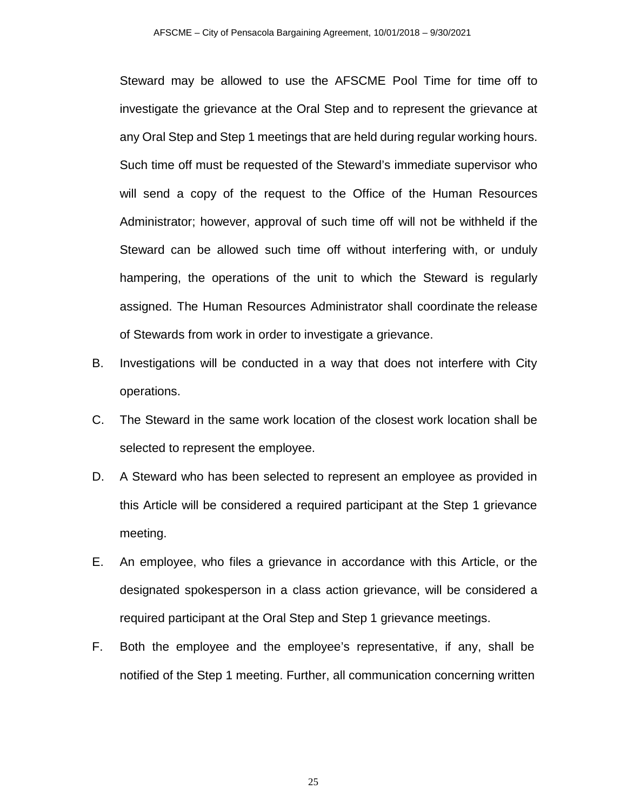Steward may be allowed to use the AFSCME Pool Time for time off to investigate the grievance at the Oral Step and to represent the grievance at any Oral Step and Step 1 meetings that are held during regular working hours. Such time off must be requested of the Steward's immediate supervisor who will send a copy of the request to the Office of the Human Resources Administrator; however, approval of such time off will not be withheld if the Steward can be allowed such time off without interfering with, or unduly hampering, the operations of the unit to which the Steward is regularly assigned. The Human Resources Administrator shall coordinate the release of Stewards from work in order to investigate a grievance.

- B. Investigations will be conducted in a way that does not interfere with City operations.
- C. The Steward in the same work location of the closest work location shall be selected to represent the employee.
- D. A Steward who has been selected to represent an employee as provided in this Article will be considered a required participant at the Step 1 grievance meeting.
- E. An employee, who files a grievance in accordance with this Article, or the designated spokesperson in a class action grievance, will be considered a required participant at the Oral Step and Step 1 grievance meetings.
- F. Both the employee and the employee's representative, if any, shall be notified of the Step 1 meeting. Further, all communication concerning written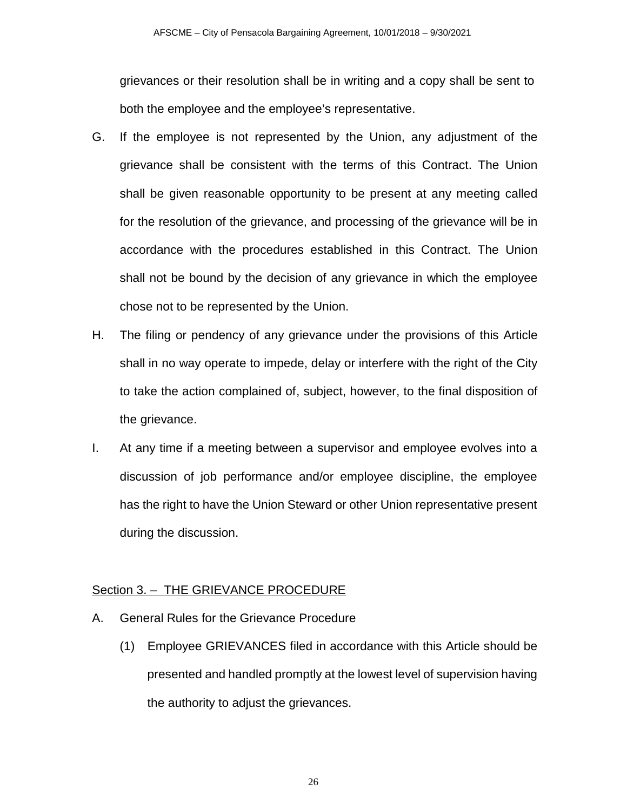grievances or their resolution shall be in writing and a copy shall be sent to both the employee and the employee's representative.

- G. If the employee is not represented by the Union, any adjustment of the grievance shall be consistent with the terms of this Contract. The Union shall be given reasonable opportunity to be present at any meeting called for the resolution of the grievance, and processing of the grievance will be in accordance with the procedures established in this Contract. The Union shall not be bound by the decision of any grievance in which the employee chose not to be represented by the Union.
- H. The filing or pendency of any grievance under the provisions of this Article shall in no way operate to impede, delay or interfere with the right of the City to take the action complained of, subject, however, to the final disposition of the grievance.
- I. At any time if a meeting between a supervisor and employee evolves into a discussion of job performance and/or employee discipline, the employee has the right to have the Union Steward or other Union representative present during the discussion.

## Section 3. – THE GRIEVANCE PROCEDURE

- A. General Rules for the Grievance Procedure
	- (1) Employee GRIEVANCES filed in accordance with this Article should be presented and handled promptly at the lowest level of supervision having the authority to adjust the grievances.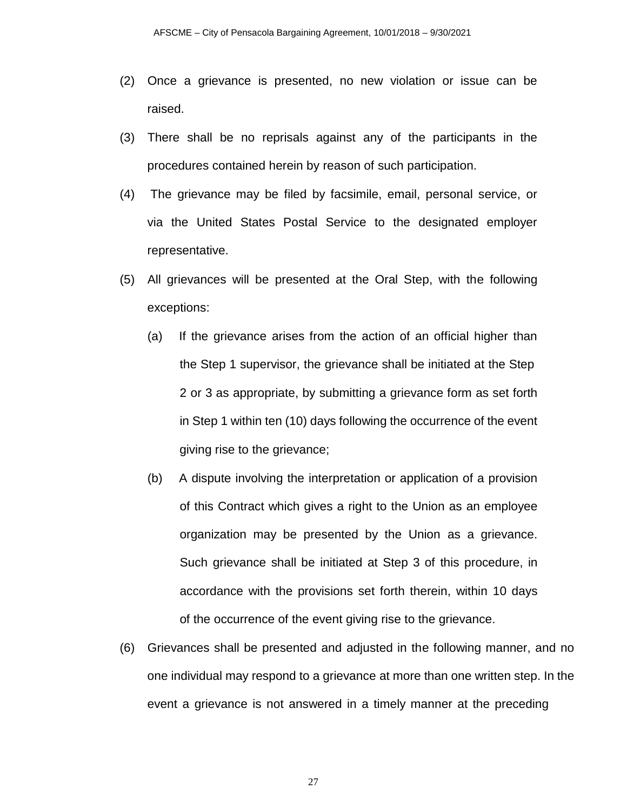- (2) Once a grievance is presented, no new violation or issue can be raised.
- (3) There shall be no reprisals against any of the participants in the procedures contained herein by reason of such participation.
- (4) The grievance may be filed by facsimile, email, personal service, or via the United States Postal Service to the designated employer representative.
- (5) All grievances will be presented at the Oral Step, with the following exceptions:
	- (a) If the grievance arises from the action of an official higher than the Step 1 supervisor, the grievance shall be initiated at the Step 2 or 3 as appropriate, by submitting a grievance form as set forth in Step 1 within ten (10) days following the occurrence of the event giving rise to the grievance;
	- (b) A dispute involving the interpretation or application of a provision of this Contract which gives a right to the Union as an employee organization may be presented by the Union as a grievance. Such grievance shall be initiated at Step 3 of this procedure, in accordance with the provisions set forth therein, within 10 days of the occurrence of the event giving rise to the grievance.
- (6) Grievances shall be presented and adjusted in the following manner, and no one individual may respond to a grievance at more than one written step. In the event a grievance is not answered in a timely manner at the preceding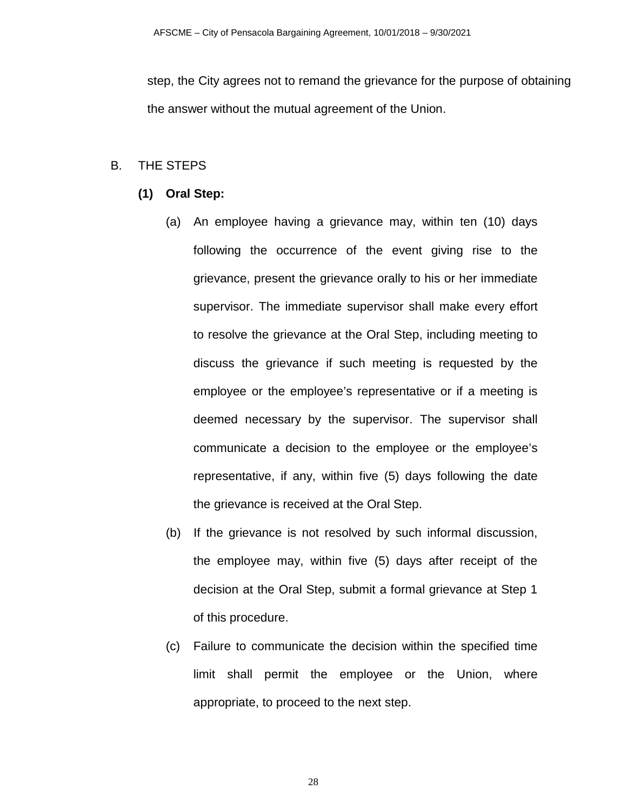step, the City agrees not to remand the grievance for the purpose of obtaining the answer without the mutual agreement of the Union.

### B. THE STEPS

- **(1) Oral Step:**
	- (a) An employee having a grievance may, within ten (10) days following the occurrence of the event giving rise to the grievance, present the grievance orally to his or her immediate supervisor. The immediate supervisor shall make every effort to resolve the grievance at the Oral Step, including meeting to discuss the grievance if such meeting is requested by the employee or the employee's representative or if a meeting is deemed necessary by the supervisor. The supervisor shall communicate a decision to the employee or the employee's representative, if any, within five (5) days following the date the grievance is received at the Oral Step.
	- (b) If the grievance is not resolved by such informal discussion, the employee may, within five (5) days after receipt of the decision at the Oral Step, submit a formal grievance at Step 1 of this procedure.
	- (c) Failure to communicate the decision within the specified time limit shall permit the employee or the Union, where appropriate, to proceed to the next step.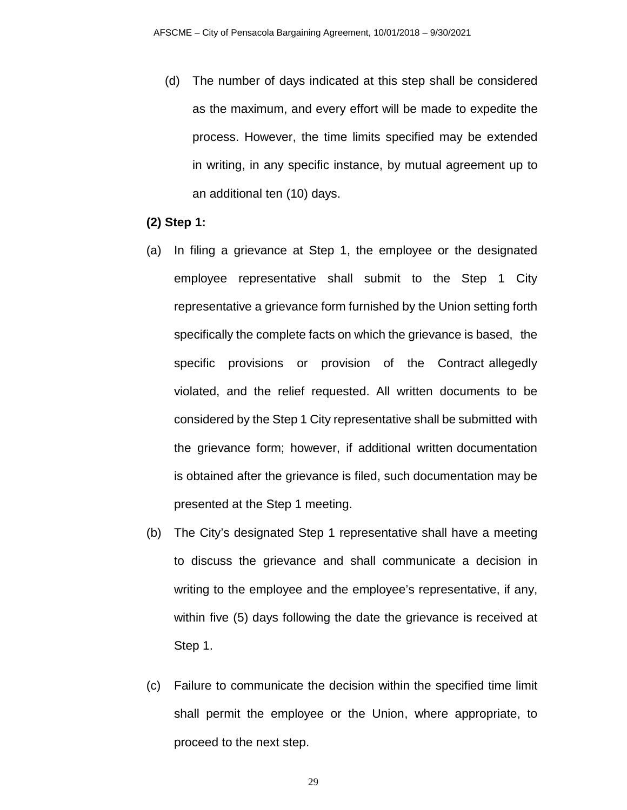- (d) The number of days indicated at this step shall be considered as the maximum, and every effort will be made to expedite the process. However, the time limits specified may be extended in writing, in any specific instance, by mutual agreement up to an additional ten (10) days.
- **(2) Step 1:**
- (a) In filing a grievance at Step 1, the employee or the designated employee representative shall submit to the Step 1 City representative a grievance form furnished by the Union setting forth specifically the complete facts on which the grievance is based, the specific provisions or provision of the Contract allegedly violated, and the relief requested. All written documents to be considered by the Step 1 City representative shall be submitted with the grievance form; however, if additional written documentation is obtained after the grievance is filed, such documentation may be presented at the Step 1 meeting.
- (b) The City's designated Step 1 representative shall have a meeting to discuss the grievance and shall communicate a decision in writing to the employee and the employee's representative, if any, within five (5) days following the date the grievance is received at Step 1.
- (c) Failure to communicate the decision within the specified time limit shall permit the employee or the Union, where appropriate, to proceed to the next step.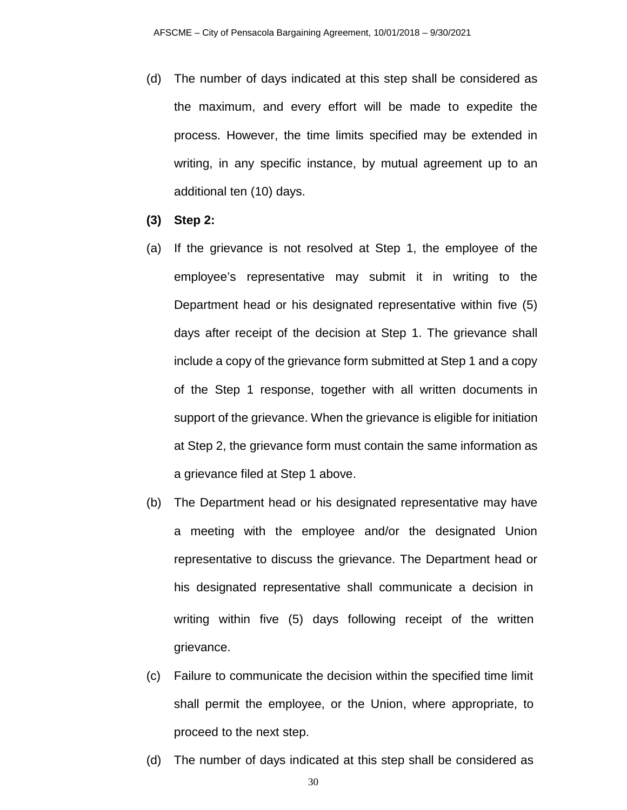- (d) The number of days indicated at this step shall be considered as the maximum, and every effort will be made to expedite the process. However, the time limits specified may be extended in writing, in any specific instance, by mutual agreement up to an additional ten (10) days.
- **(3) Step 2:**
- (a) If the grievance is not resolved at Step 1, the employee of the employee's representative may submit it in writing to the Department head or his designated representative within five (5) days after receipt of the decision at Step 1. The grievance shall include a copy of the grievance form submitted at Step 1 and a copy of the Step 1 response, together with all written documents in support of the grievance. When the grievance is eligible for initiation at Step 2, the grievance form must contain the same information as a grievance filed at Step 1 above.
- (b) The Department head or his designated representative may have a meeting with the employee and/or the designated Union representative to discuss the grievance. The Department head or his designated representative shall communicate a decision in writing within five (5) days following receipt of the written grievance.
- (c) Failure to communicate the decision within the specified time limit shall permit the employee, or the Union, where appropriate, to proceed to the next step.
- (d) The number of days indicated at this step shall be considered as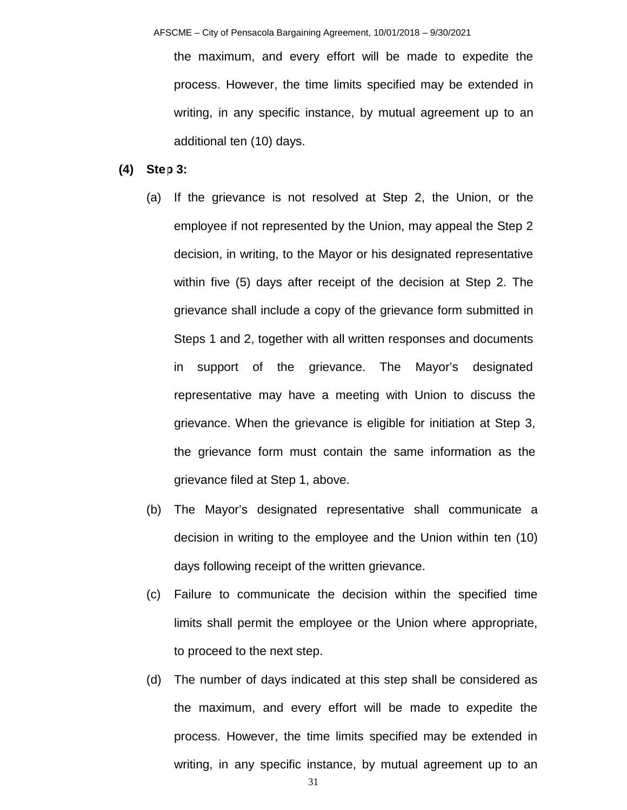the maximum, and every effort will be made to expedite the process. However, the time limits specified may be extended in writing, in any specific instance, by mutual agreement up to an additional ten (10) days.

#### **(4) Step 3:**

- (a) If the grievance is not resolved at Step 2, the Union, or the employee if not represented by the Union, may appeal the Step 2 decision, in writing, to the Mayor or his designated representative within five (5) days after receipt of the decision at Step 2. The grievance shall include a copy of the grievance form submitted in Steps 1 and 2, together with all written responses and documents in support of the grievance. The Mayor's designated representative may have a meeting with Union to discuss the grievance. When the grievance is eligible for initiation at Step 3, the grievance form must contain the same information as the grievance filed at Step 1, above.
- (b) The Mayor's designated representative shall communicate a decision in writing to the employee and the Union within ten (10) days following receipt of the written grievance.
- (c) Failure to communicate the decision within the specified time limits shall permit the employee or the Union where appropriate, to proceed to the next step.
- (d) The number of days indicated at this step shall be considered as the maximum, and every effort will be made to expedite the process. However, the time limits specified may be extended in writing, in any specific instance, by mutual agreement up to an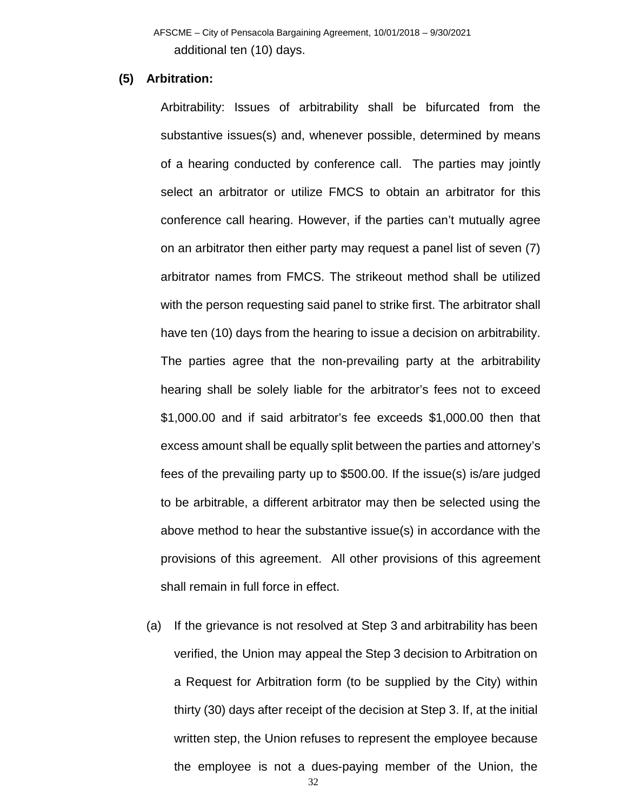AFSCME – City of Pensacola Bargaining Agreement, 10/01/2018 – 9/30/2021 additional ten (10) days.

#### **(5) Arbitration:**

Arbitrability: Issues of arbitrability shall be bifurcated from the substantive issues(s) and, whenever possible, determined by means of a hearing conducted by conference call. The parties may jointly select an arbitrator or utilize FMCS to obtain an arbitrator for this conference call hearing. However, if the parties can't mutually agree on an arbitrator then either party may request a panel list of seven (7) arbitrator names from FMCS. The strikeout method shall be utilized with the person requesting said panel to strike first. The arbitrator shall have ten (10) days from the hearing to issue a decision on arbitrability. The parties agree that the non-prevailing party at the arbitrability hearing shall be solely liable for the arbitrator's fees not to exceed \$1,000.00 and if said arbitrator's fee exceeds \$1,000.00 then that excess amount shall be equally split between the parties and attorney's fees of the prevailing party up to \$500.00. If the issue(s) is/are judged to be arbitrable, a different arbitrator may then be selected using the above method to hear the substantive issue(s) in accordance with the provisions of this agreement. All other provisions of this agreement shall remain in full force in effect.

(a) If the grievance is not resolved at Step 3 and arbitrability has been verified, the Union may appeal the Step 3 decision to Arbitration on a Request for Arbitration form (to be supplied by the City) within thirty (30) days after receipt of the decision at Step 3. If, at the initial written step, the Union refuses to represent the employee because the employee is not a dues-paying member of the Union, the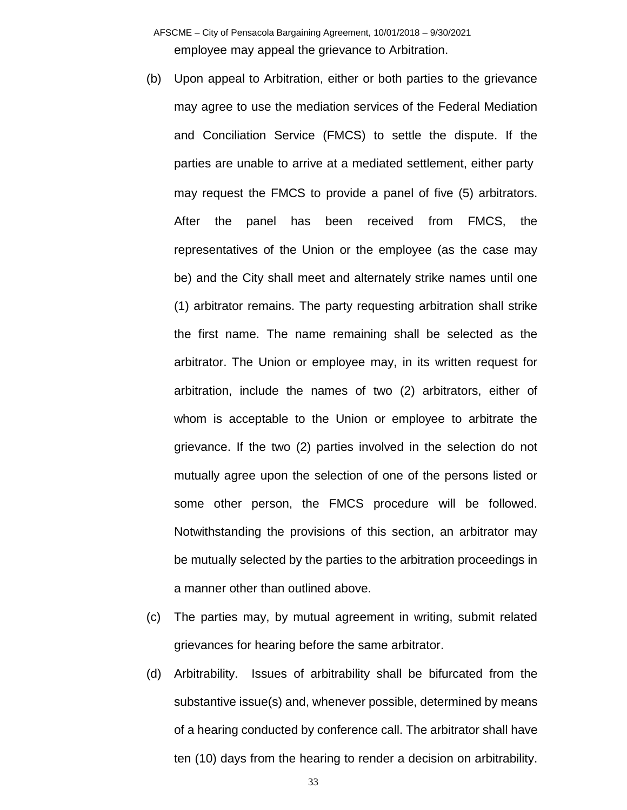AFSCME – City of Pensacola Bargaining Agreement, 10/01/2018 – 9/30/2021 employee may appeal the grievance to Arbitration.

- (b) Upon appeal to Arbitration, either or both parties to the grievance may agree to use the mediation services of the Federal Mediation and Conciliation Service (FMCS) to settle the dispute. If the parties are unable to arrive at a mediated settlement, either party may request the FMCS to provide a panel of five (5) arbitrators. After the panel has been received from FMCS, the representatives of the Union or the employee (as the case may be) and the City shall meet and alternately strike names until one (1) arbitrator remains. The party requesting arbitration shall strike the first name. The name remaining shall be selected as the arbitrator. The Union or employee may, in its written request for arbitration, include the names of two (2) arbitrators, either of whom is acceptable to the Union or employee to arbitrate the grievance. If the two (2) parties involved in the selection do not mutually agree upon the selection of one of the persons listed or some other person, the FMCS procedure will be followed. Notwithstanding the provisions of this section, an arbitrator may be mutually selected by the parties to the arbitration proceedings in a manner other than outlined above.
- (c) The parties may, by mutual agreement in writing, submit related grievances for hearing before the same arbitrator.
- (d) Arbitrability. Issues of arbitrability shall be bifurcated from the substantive issue(s) and, whenever possible, determined by means of a hearing conducted by conference call. The arbitrator shall have ten (10) days from the hearing to render a decision on arbitrability.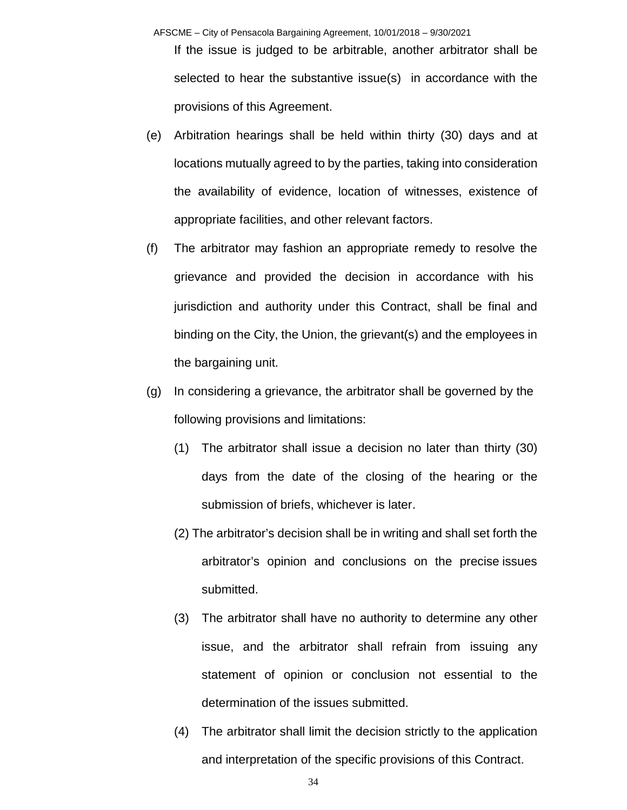AFSCME – City of Pensacola Bargaining Agreement, 10/01/2018 – 9/30/2021

If the issue is judged to be arbitrable, another arbitrator shall be selected to hear the substantive issue(s) in accordance with the provisions of this Agreement.

- (e) Arbitration hearings shall be held within thirty (30) days and at locations mutually agreed to by the parties, taking into consideration the availability of evidence, location of witnesses, existence of appropriate facilities, and other relevant factors.
- (f) The arbitrator may fashion an appropriate remedy to resolve the grievance and provided the decision in accordance with his jurisdiction and authority under this Contract, shall be final and binding on the City, the Union, the grievant(s) and the employees in the bargaining unit.
- (g) In considering a grievance, the arbitrator shall be governed by the following provisions and limitations:
	- (1) The arbitrator shall issue a decision no later than thirty (30) days from the date of the closing of the hearing or the submission of briefs, whichever is later.
	- (2) The arbitrator's decision shall be in writing and shall set forth the arbitrator's opinion and conclusions on the precise issues submitted.
	- (3) The arbitrator shall have no authority to determine any other issue, and the arbitrator shall refrain from issuing any statement of opinion or conclusion not essential to the determination of the issues submitted.
	- (4) The arbitrator shall limit the decision strictly to the application and interpretation of the specific provisions of this Contract.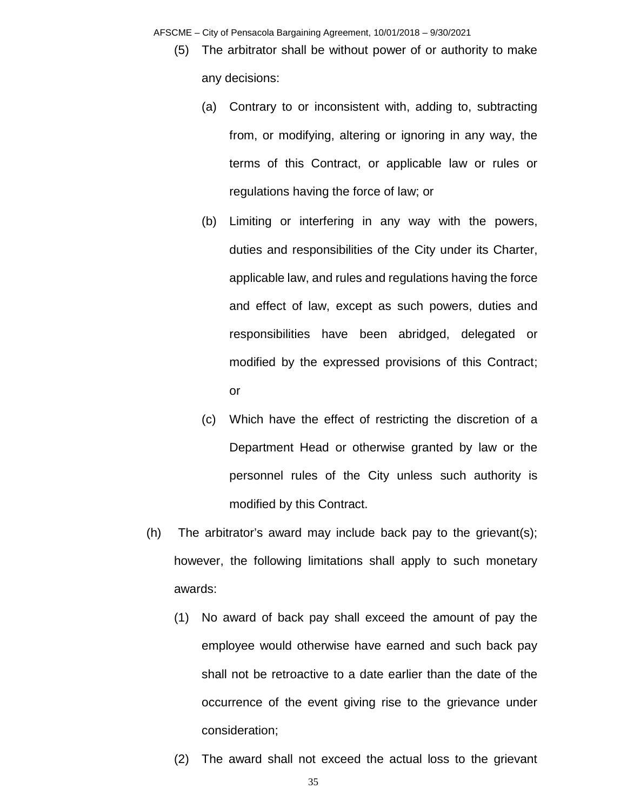AFSCME – City of Pensacola Bargaining Agreement, 10/01/2018 – 9/30/2021

- (5) The arbitrator shall be without power of or authority to make any decisions:
	- (a) Contrary to or inconsistent with, adding to, subtracting from, or modifying, altering or ignoring in any way, the terms of this Contract, or applicable law or rules or regulations having the force of law; or
	- (b) Limiting or interfering in any way with the powers, duties and responsibilities of the City under its Charter, applicable law, and rules and regulations having the force and effect of law, except as such powers, duties and responsibilities have been abridged, delegated or modified by the expressed provisions of this Contract; or
	- (c) Which have the effect of restricting the discretion of a Department Head or otherwise granted by law or the personnel rules of the City unless such authority is modified by this Contract.
- (h) The arbitrator's award may include back pay to the grievant(s); however, the following limitations shall apply to such monetary awards:
	- (1) No award of back pay shall exceed the amount of pay the employee would otherwise have earned and such back pay shall not be retroactive to a date earlier than the date of the occurrence of the event giving rise to the grievance under consideration;
	- (2) The award shall not exceed the actual loss to the grievant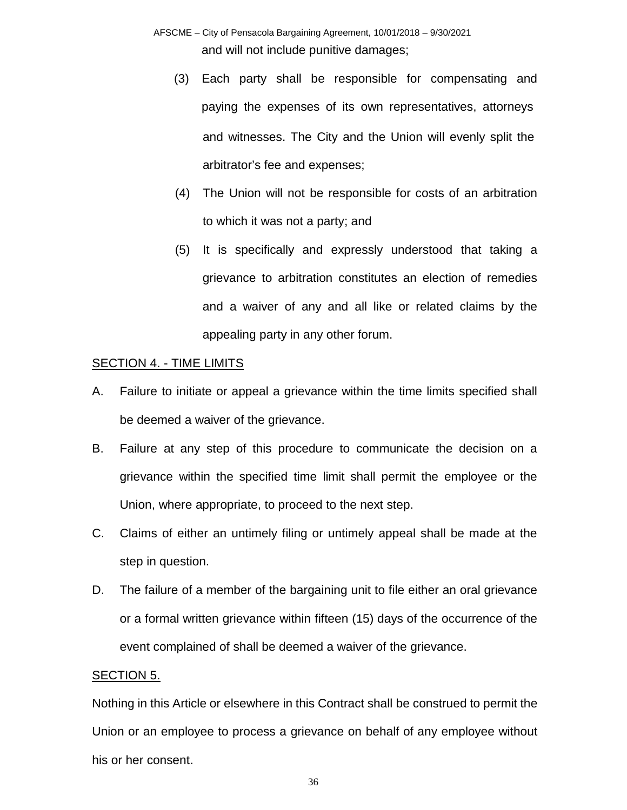- AFSCME City of Pensacola Bargaining Agreement, 10/01/2018 9/30/2021 and will not include punitive damages;
	- (3) Each party shall be responsible for compensating and paying the expenses of its own representatives, attorneys and witnesses. The City and the Union will evenly split the arbitrator's fee and expenses;
	- (4) The Union will not be responsible for costs of an arbitration to which it was not a party; and
	- (5) It is specifically and expressly understood that taking a grievance to arbitration constitutes an election of remedies and a waiver of any and all like or related claims by the appealing party in any other forum.

## SECTION 4. - TIME LIMITS

- A. Failure to initiate or appeal a grievance within the time limits specified shall be deemed a waiver of the grievance.
- B. Failure at any step of this procedure to communicate the decision on a grievance within the specified time limit shall permit the employee or the Union, where appropriate, to proceed to the next step.
- C. Claims of either an untimely filing or untimely appeal shall be made at the step in question.
- D. The failure of a member of the bargaining unit to file either an oral grievance or a formal written grievance within fifteen (15) days of the occurrence of the event complained of shall be deemed a waiver of the grievance.

### SECTION 5.

Nothing in this Article or elsewhere in this Contract shall be construed to permit the Union or an employee to process a grievance on behalf of any employee without his or her consent.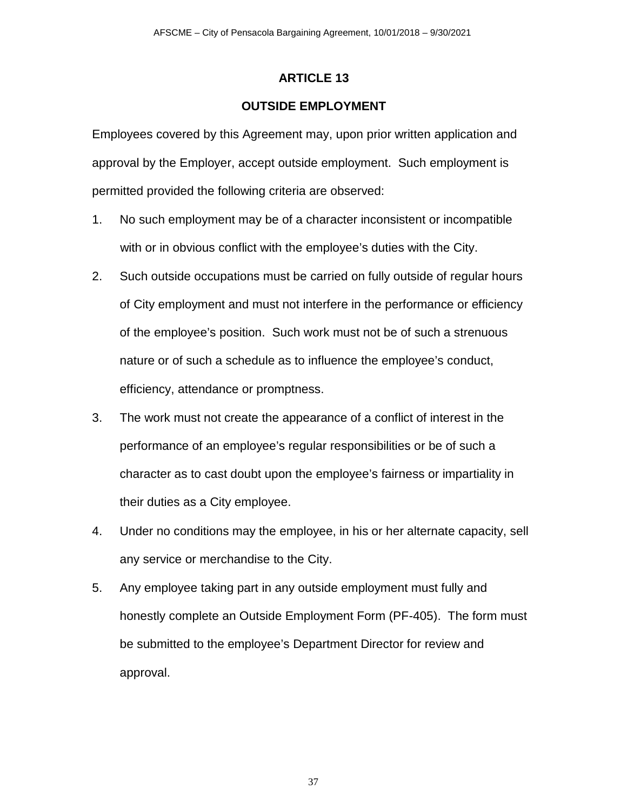## **OUTSIDE EMPLOYMENT**

Employees covered by this Agreement may, upon prior written application and approval by the Employer, accept outside employment. Such employment is permitted provided the following criteria are observed:

- 1. No such employment may be of a character inconsistent or incompatible with or in obvious conflict with the employee's duties with the City.
- 2. Such outside occupations must be carried on fully outside of regular hours of City employment and must not interfere in the performance or efficiency of the employee's position. Such work must not be of such a strenuous nature or of such a schedule as to influence the employee's conduct, efficiency, attendance or promptness.
- 3. The work must not create the appearance of a conflict of interest in the performance of an employee's regular responsibilities or be of such a character as to cast doubt upon the employee's fairness or impartiality in their duties as a City employee.
- 4. Under no conditions may the employee, in his or her alternate capacity, sell any service or merchandise to the City.
- 5. Any employee taking part in any outside employment must fully and honestly complete an Outside Employment Form (PF-405). The form must be submitted to the employee's Department Director for review and approval.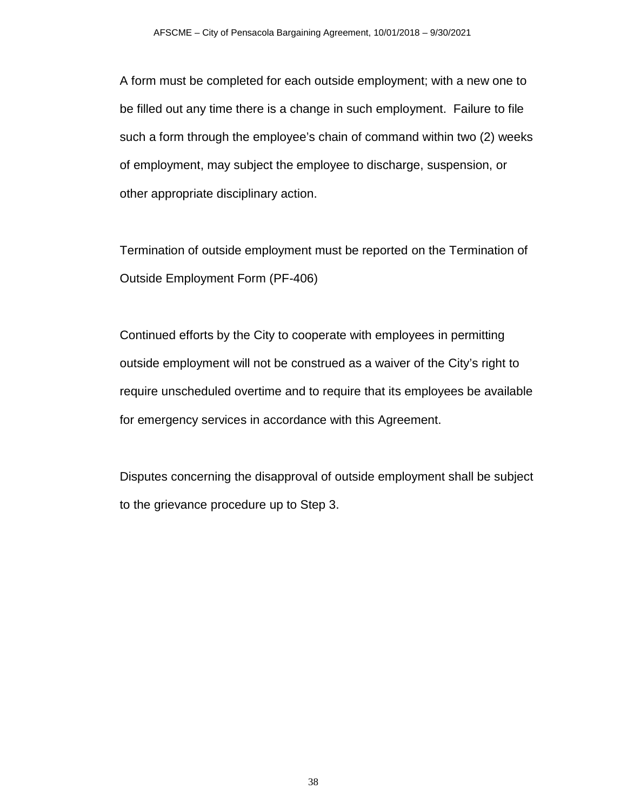A form must be completed for each outside employment; with a new one to be filled out any time there is a change in such employment. Failure to file such a form through the employee's chain of command within two (2) weeks of employment, may subject the employee to discharge, suspension, or other appropriate disciplinary action.

Termination of outside employment must be reported on the Termination of Outside Employment Form (PF-406)

Continued efforts by the City to cooperate with employees in permitting outside employment will not be construed as a waiver of the City's right to require unscheduled overtime and to require that its employees be available for emergency services in accordance with this Agreement.

Disputes concerning the disapproval of outside employment shall be subject to the grievance procedure up to Step 3.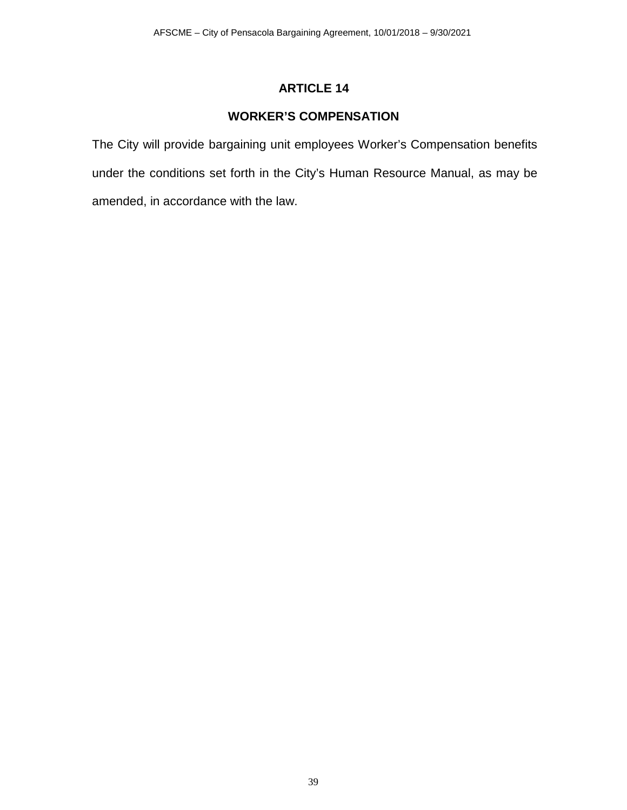# **WORKER'S COMPENSATION**

The City will provide bargaining unit employees Worker's Compensation benefits under the conditions set forth in the City's Human Resource Manual, as may be amended, in accordance with the law.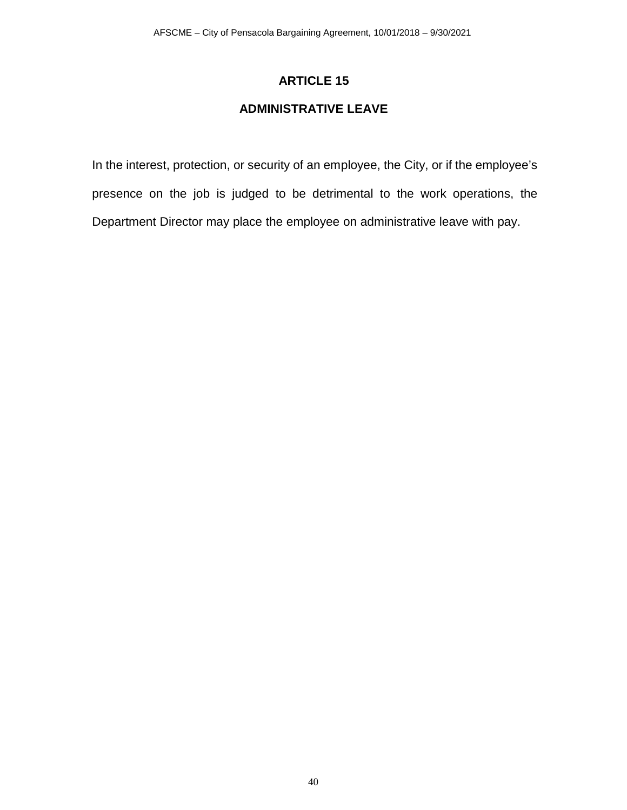# **ADMINISTRATIVE LEAVE**

In the interest, protection, or security of an employee, the City, or if the employee's presence on the job is judged to be detrimental to the work operations, the Department Director may place the employee on administrative leave with pay.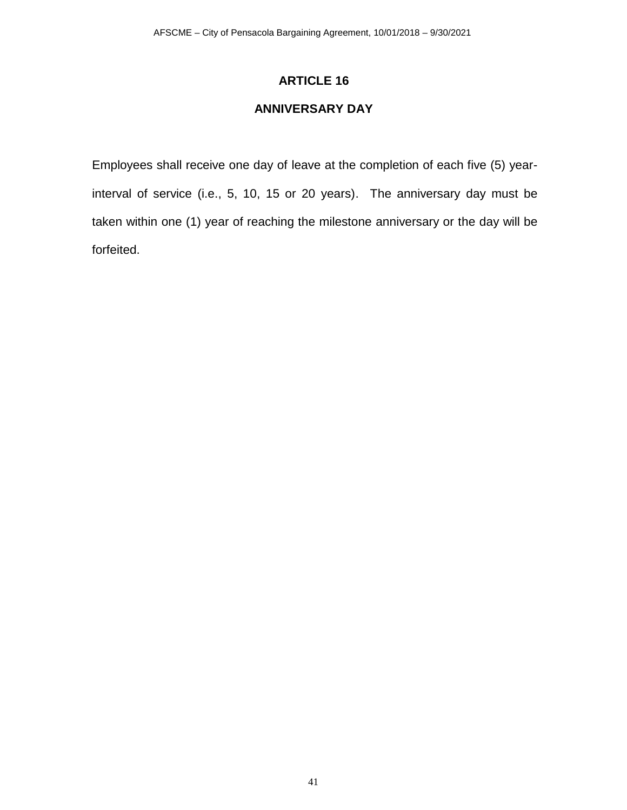# **ANNIVERSARY DAY**

Employees shall receive one day of leave at the completion of each five (5) yearinterval of service (i.e., 5, 10, 15 or 20 years). The anniversary day must be taken within one (1) year of reaching the milestone anniversary or the day will be forfeited.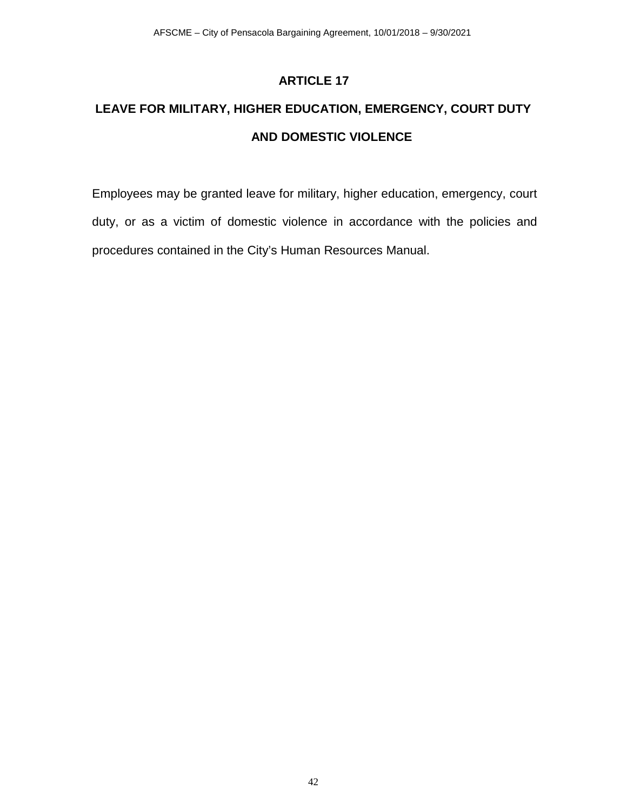# **LEAVE FOR MILITARY, HIGHER EDUCATION, EMERGENCY, COURT DUTY AND DOMESTIC VIOLENCE**

Employees may be granted leave for military, higher education, emergency, court duty, or as a victim of domestic violence in accordance with the policies and procedures contained in the City's Human Resources Manual.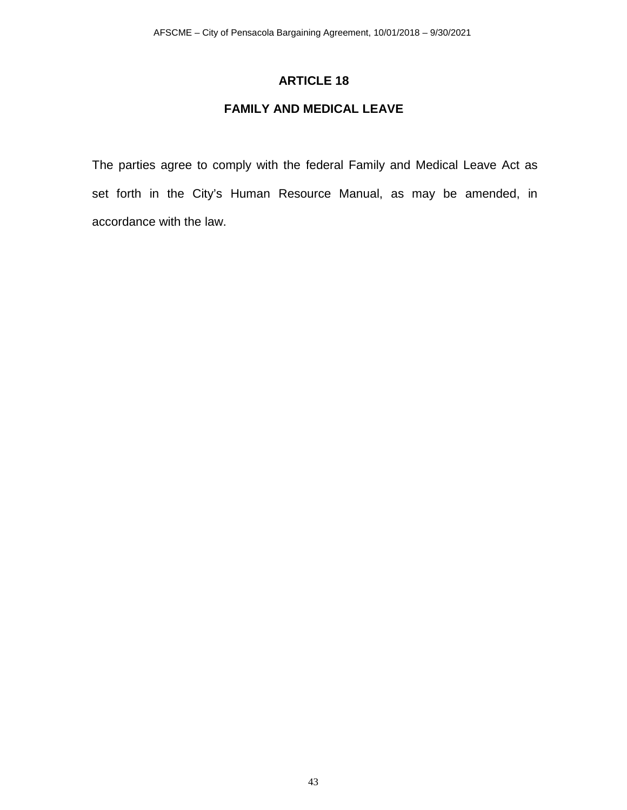# **FAMILY AND MEDICAL LEAVE**

The parties agree to comply with the federal Family and Medical Leave Act as set forth in the City's Human Resource Manual, as may be amended, in accordance with the law.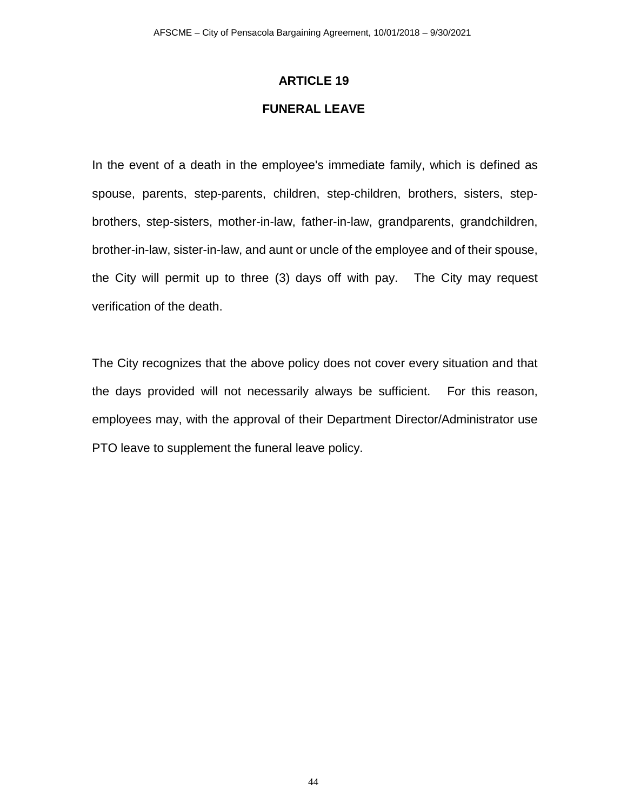### **FUNERAL LEAVE**

In the event of a death in the employee's immediate family, which is defined as spouse, parents, step-parents, children, step-children, brothers, sisters, stepbrothers, step-sisters, mother-in-law, father-in-law, grandparents, grandchildren, brother-in-law, sister-in-law, and aunt or uncle of the employee and of their spouse, the City will permit up to three (3) days off with pay. The City may request verification of the death.

The City recognizes that the above policy does not cover every situation and that the days provided will not necessarily always be sufficient. For this reason, employees may, with the approval of their Department Director/Administrator use PTO leave to supplement the funeral leave policy.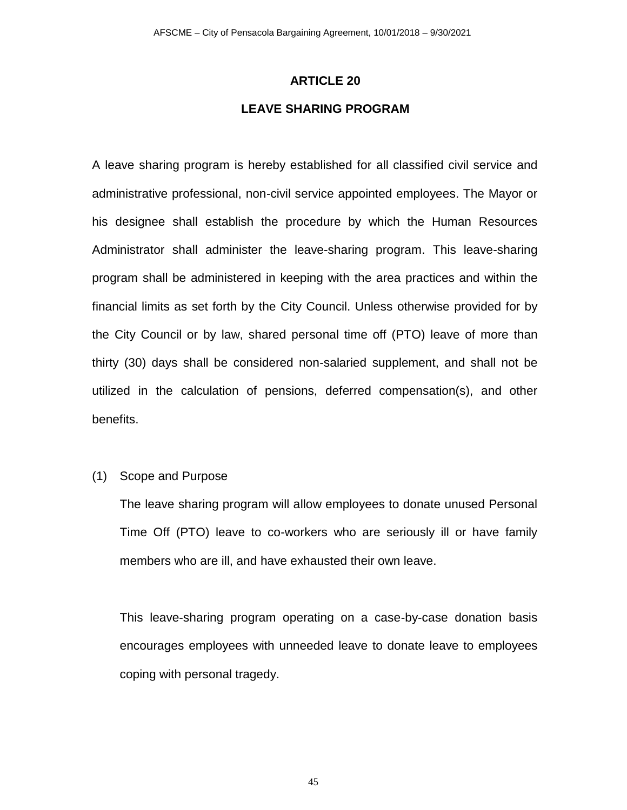### **LEAVE SHARING PROGRAM**

A leave sharing program is hereby established for all classified civil service and administrative professional, non-civil service appointed employees. The Mayor or his designee shall establish the procedure by which the Human Resources Administrator shall administer the leave-sharing program. This leave-sharing program shall be administered in keeping with the area practices and within the financial limits as set forth by the City Council. Unless otherwise provided for by the City Council or by law, shared personal time off (PTO) leave of more than thirty (30) days shall be considered non-salaried supplement, and shall not be utilized in the calculation of pensions, deferred compensation(s), and other benefits.

#### (1) Scope and Purpose

The leave sharing program will allow employees to donate unused Personal Time Off (PTO) leave to co-workers who are seriously ill or have family members who are ill, and have exhausted their own leave.

This leave-sharing program operating on a case-by-case donation basis encourages employees with unneeded leave to donate leave to employees coping with personal tragedy.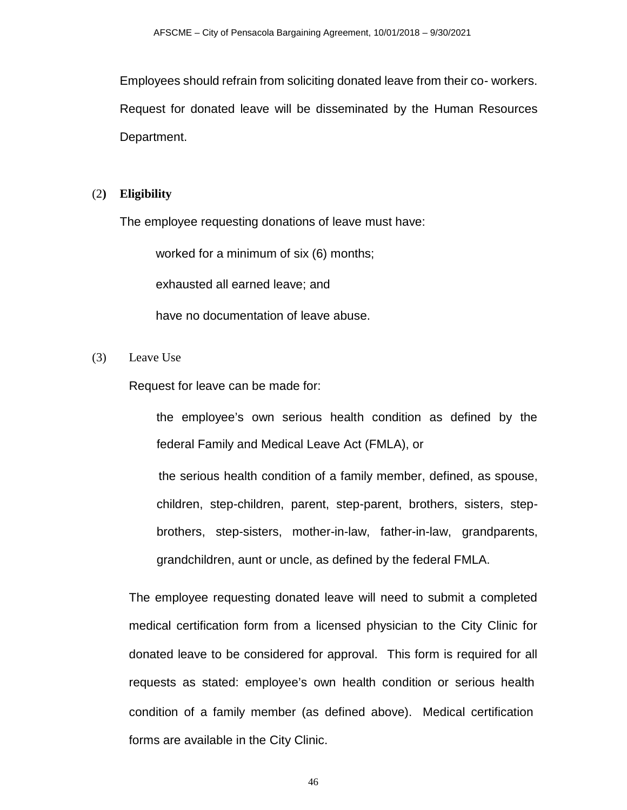Employees should refrain from soliciting donated leave from their co- workers. Request for donated leave will be disseminated by the Human Resources Department.

#### (2**) Eligibility**

The employee requesting donations of leave must have:

worked for a minimum of six (6) months;

exhausted all earned leave; and

have no documentation of leave abuse.

(3) Leave Use

Request for leave can be made for:

 the employee's own serious health condition as defined by the federal Family and Medical Leave Act (FMLA), or

 the serious health condition of a family member, defined, as spouse, children, step-children, parent, step-parent, brothers, sisters, stepbrothers, step-sisters, mother-in-law, father-in-law, grandparents, grandchildren, aunt or uncle, as defined by the federal FMLA.

The employee requesting donated leave will need to submit a completed medical certification form from a licensed physician to the City Clinic for donated leave to be considered for approval. This form is required for all requests as stated: employee's own health condition or serious health condition of a family member (as defined above). Medical certification forms are available in the City Clinic.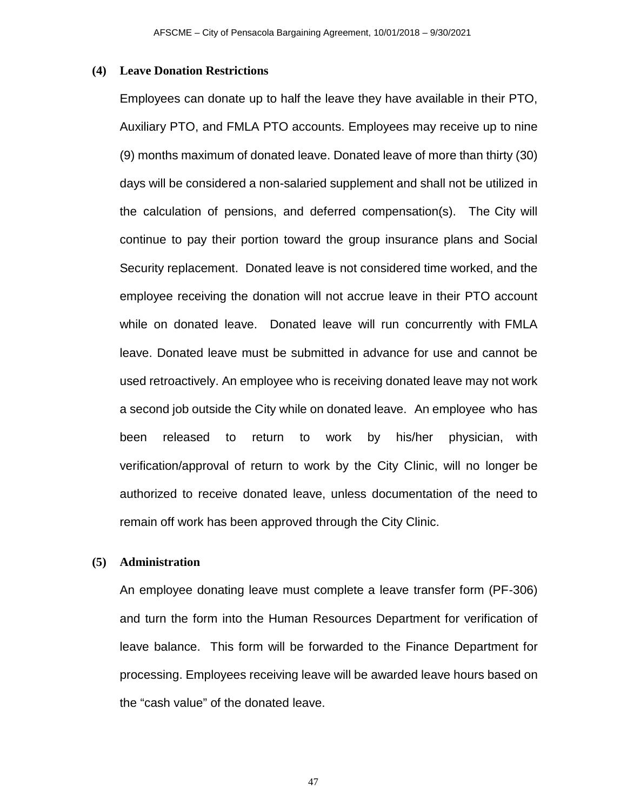#### **(4) Leave Donation Restrictions**

Employees can donate up to half the leave they have available in their PTO, Auxiliary PTO, and FMLA PTO accounts. Employees may receive up to nine (9) months maximum of donated leave. Donated leave of more than thirty (30) days will be considered a non-salaried supplement and shall not be utilized in the calculation of pensions, and deferred compensation(s). The City will continue to pay their portion toward the group insurance plans and Social Security replacement. Donated leave is not considered time worked, and the employee receiving the donation will not accrue leave in their PTO account while on donated leave. Donated leave will run concurrently with FMLA leave. Donated leave must be submitted in advance for use and cannot be used retroactively. An employee who is receiving donated leave may not work a second job outside the City while on donated leave. An employee who has been released to return to work by his/her physician, with verification/approval of return to work by the City Clinic, will no longer be authorized to receive donated leave, unless documentation of the need to remain off work has been approved through the City Clinic.

### **(5) Administration**

An employee donating leave must complete a leave transfer form (PF-306) and turn the form into the Human Resources Department for verification of leave balance. This form will be forwarded to the Finance Department for processing. Employees receiving leave will be awarded leave hours based on the "cash value" of the donated leave.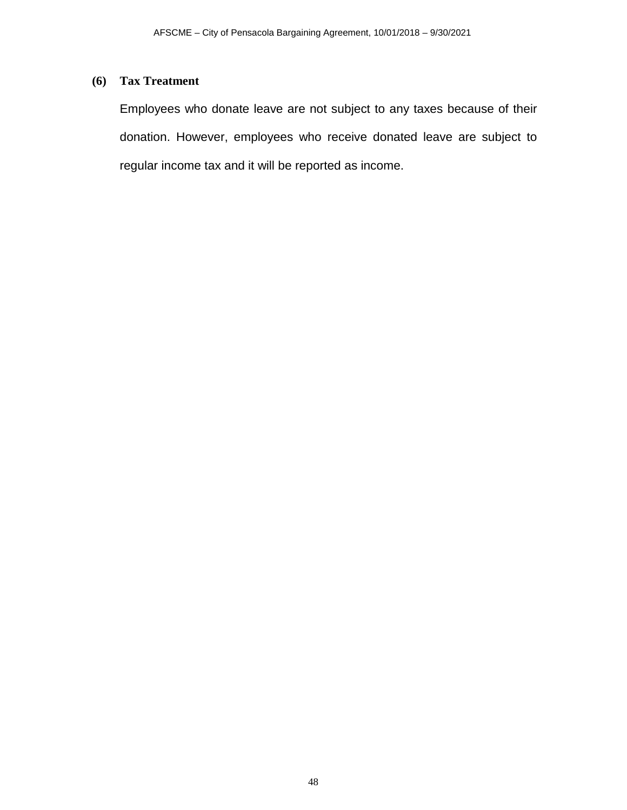# **(6) Tax Treatment**

Employees who donate leave are not subject to any taxes because of their donation. However, employees who receive donated leave are subject to regular income tax and it will be reported as income.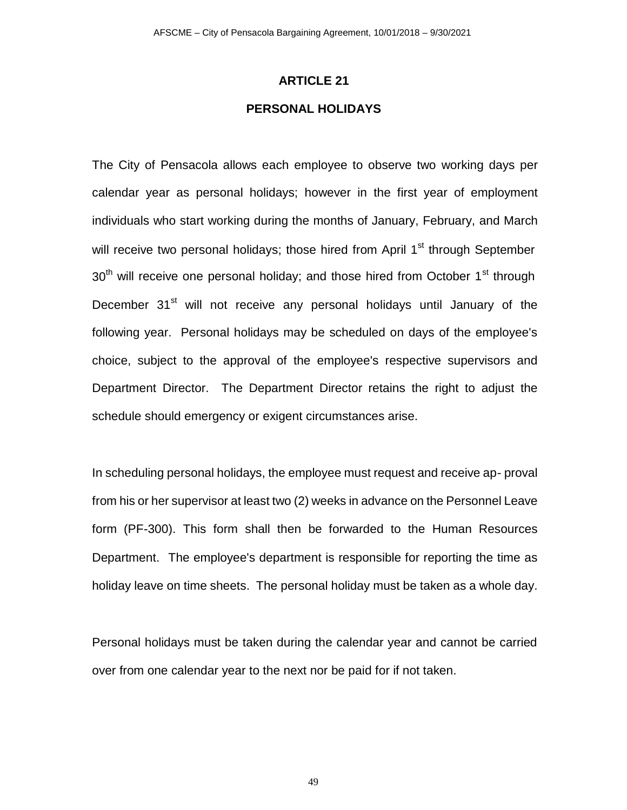### **PERSONAL HOLIDAYS**

The City of Pensacola allows each employee to observe two working days per calendar year as personal holidays; however in the first year of employment individuals who start working during the months of January, February, and March will receive two personal holidays; those hired from April 1<sup>st</sup> through September  $30<sup>th</sup>$  will receive one personal holiday; and those hired from October 1<sup>st</sup> through December 31<sup>st</sup> will not receive any personal holidays until January of the following year. Personal holidays may be scheduled on days of the employee's choice, subject to the approval of the employee's respective supervisors and Department Director. The Department Director retains the right to adjust the schedule should emergency or exigent circumstances arise.

In scheduling personal holidays, the employee must request and receive ap- proval from his or her supervisor at least two (2) weeks in advance on the Personnel Leave form (PF-300). This form shall then be forwarded to the Human Resources Department. The employee's department is responsible for reporting the time as holiday leave on time sheets. The personal holiday must be taken as a whole day.

Personal holidays must be taken during the calendar year and cannot be carried over from one calendar year to the next nor be paid for if not taken.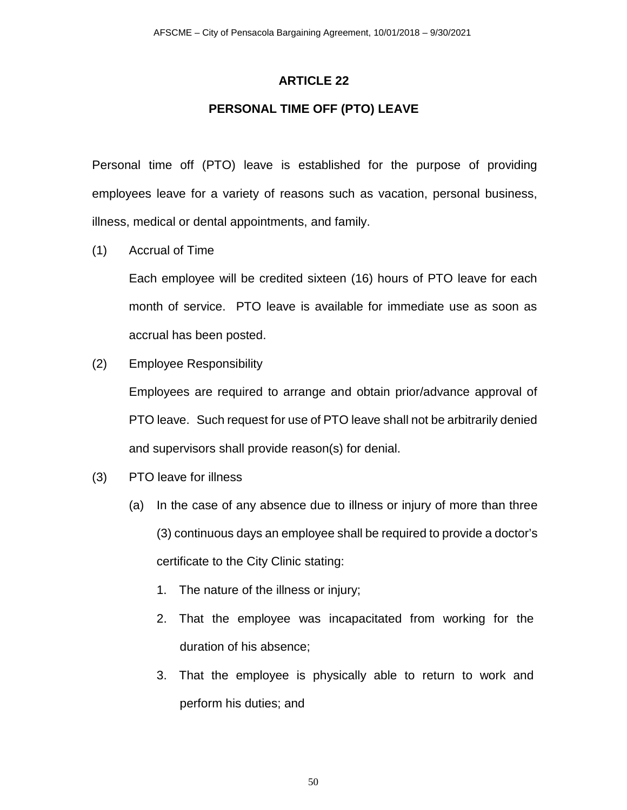## **PERSONAL TIME OFF (PTO) LEAVE**

Personal time off (PTO) leave is established for the purpose of providing employees leave for a variety of reasons such as vacation, personal business, illness, medical or dental appointments, and family.

(1) Accrual of Time

Each employee will be credited sixteen (16) hours of PTO leave for each month of service. PTO leave is available for immediate use as soon as accrual has been posted.

(2) Employee Responsibility

Employees are required to arrange and obtain prior/advance approval of PTO leave. Such request for use of PTO leave shall not be arbitrarily denied and supervisors shall provide reason(s) for denial.

- (3) PTO leave for illness
	- (a) In the case of any absence due to illness or injury of more than three (3) continuous days an employee shall be required to provide a doctor's certificate to the City Clinic stating:
		- 1. The nature of the illness or injury;
		- 2. That the employee was incapacitated from working for the duration of his absence;
		- 3. That the employee is physically able to return to work and perform his duties; and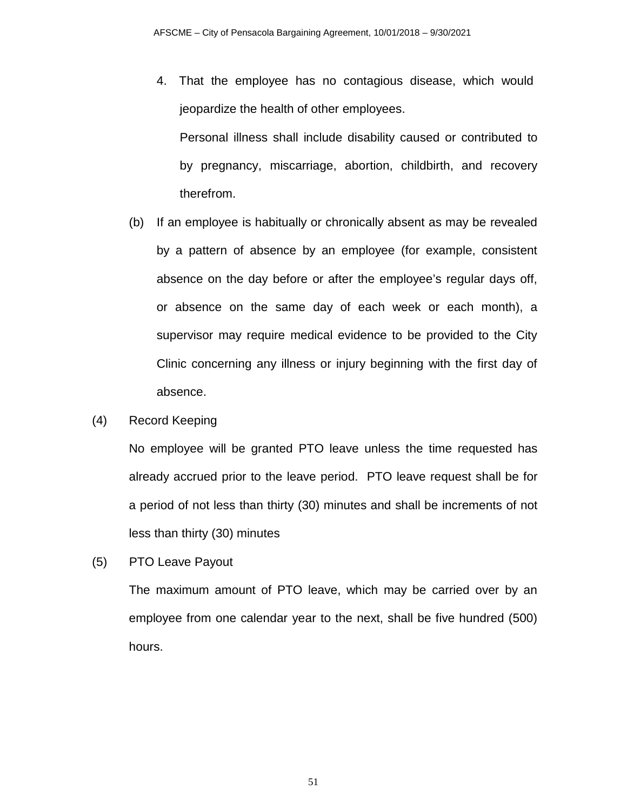4. That the employee has no contagious disease, which would jeopardize the health of other employees.

Personal illness shall include disability caused or contributed to by pregnancy, miscarriage, abortion, childbirth, and recovery therefrom.

- (b) If an employee is habitually or chronically absent as may be revealed by a pattern of absence by an employee (for example, consistent absence on the day before or after the employee's regular days off, or absence on the same day of each week or each month), a supervisor may require medical evidence to be provided to the City Clinic concerning any illness or injury beginning with the first day of absence.
- (4) Record Keeping

No employee will be granted PTO leave unless the time requested has already accrued prior to the leave period. PTO leave request shall be for a period of not less than thirty (30) minutes and shall be increments of not less than thirty (30) minutes

(5) PTO Leave Payout

The maximum amount of PTO leave, which may be carried over by an employee from one calendar year to the next, shall be five hundred (500) hours.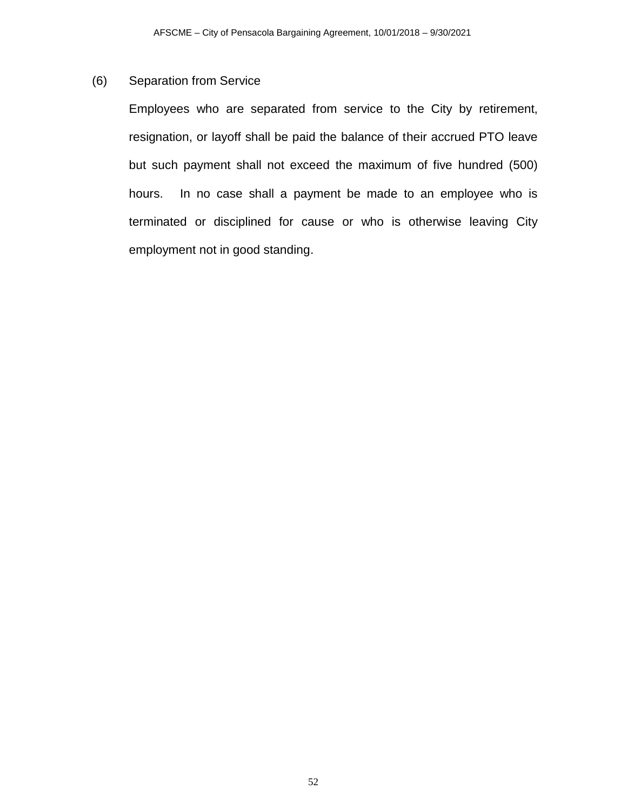## (6) Separation from Service

Employees who are separated from service to the City by retirement, resignation, or layoff shall be paid the balance of their accrued PTO leave but such payment shall not exceed the maximum of five hundred (500) hours. In no case shall a payment be made to an employee who is terminated or disciplined for cause or who is otherwise leaving City employment not in good standing.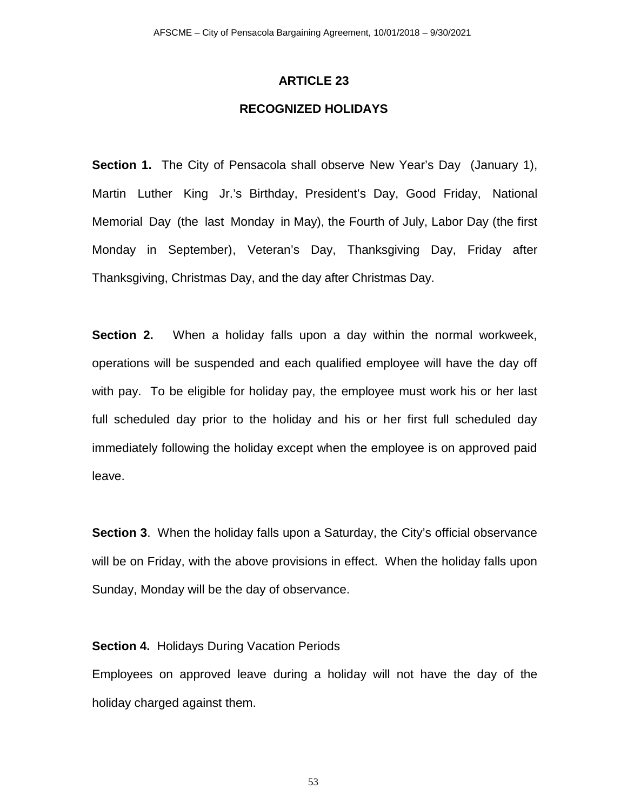### **RECOGNIZED HOLIDAYS**

**Section 1.** The City of Pensacola shall observe New Year's Day (January 1), Martin Luther King Jr.'s Birthday, President's Day, Good Friday, National Memorial Day (the last Monday in May), the Fourth of July, Labor Day (the first Monday in September), Veteran's Day, Thanksgiving Day, Friday after Thanksgiving, Christmas Day, and the day after Christmas Day.

**Section 2.** When a holiday falls upon a day within the normal workweek, operations will be suspended and each qualified employee will have the day off with pay. To be eligible for holiday pay, the employee must work his or her last full scheduled day prior to the holiday and his or her first full scheduled day immediately following the holiday except when the employee is on approved paid leave.

**Section 3.** When the holiday falls upon a Saturday, the City's official observance will be on Friday, with the above provisions in effect. When the holiday falls upon Sunday, Monday will be the day of observance.

### **Section 4.** Holidays During Vacation Periods

Employees on approved leave during a holiday will not have the day of the holiday charged against them.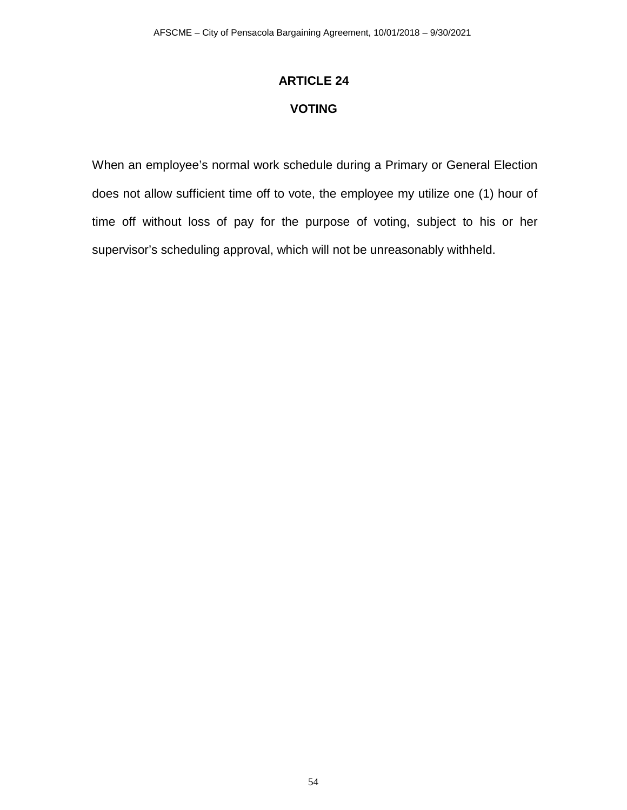# **ARTICLE 24 VOTING**

When an employee's normal work schedule during a Primary or General Election does not allow sufficient time off to vote, the employee my utilize one (1) hour of time off without loss of pay for the purpose of voting, subject to his or her supervisor's scheduling approval, which will not be unreasonably withheld.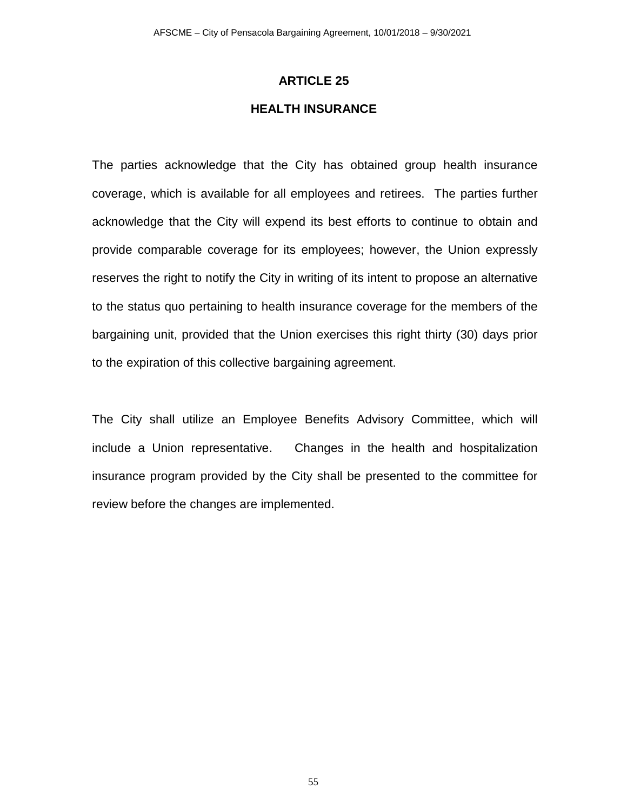### **HEALTH INSURANCE**

The parties acknowledge that the City has obtained group health insurance coverage, which is available for all employees and retirees. The parties further acknowledge that the City will expend its best efforts to continue to obtain and provide comparable coverage for its employees; however, the Union expressly reserves the right to notify the City in writing of its intent to propose an alternative to the status quo pertaining to health insurance coverage for the members of the bargaining unit, provided that the Union exercises this right thirty (30) days prior to the expiration of this collective bargaining agreement.

The City shall utilize an Employee Benefits Advisory Committee, which will include a Union representative. Changes in the health and hospitalization insurance program provided by the City shall be presented to the committee for review before the changes are implemented.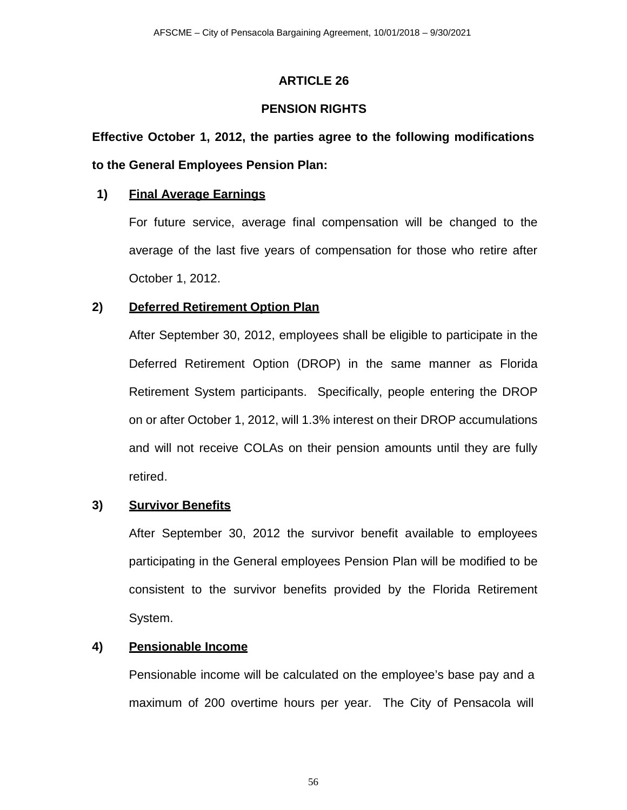## **PENSION RIGHTS**

# **Effective October 1, 2012, the parties agree to the following modifications to the General Employees Pension Plan:**

## **1) Final Average Earnings**

For future service, average final compensation will be changed to the average of the last five years of compensation for those who retire after October 1, 2012.

## **2) Deferred Retirement Option Plan**

After September 30, 2012, employees shall be eligible to participate in the Deferred Retirement Option (DROP) in the same manner as Florida Retirement System participants. Specifically, people entering the DROP on or after October 1, 2012, will 1.3% interest on their DROP accumulations and will not receive COLAs on their pension amounts until they are fully retired.

## **3) Survivor Benefits**

After September 30, 2012 the survivor benefit available to employees participating in the General employees Pension Plan will be modified to be consistent to the survivor benefits provided by the Florida Retirement System.

## **4) Pensionable Income**

Pensionable income will be calculated on the employee's base pay and a maximum of 200 overtime hours per year. The City of Pensacola will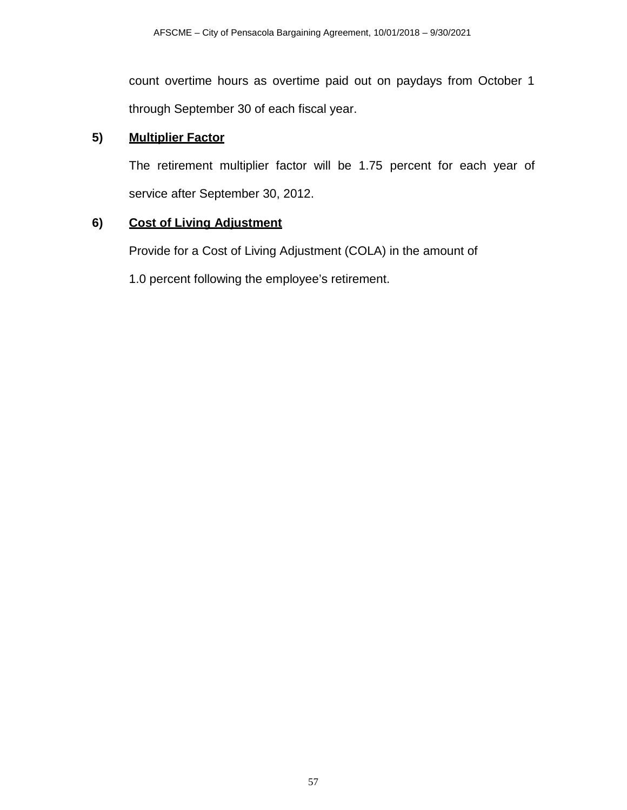count overtime hours as overtime paid out on paydays from October 1 through September 30 of each fiscal year.

## **5) Multiplier Factor**

The retirement multiplier factor will be 1.75 percent for each year of service after September 30, 2012.

### **6) Cost of Living Adjustment**

Provide for a Cost of Living Adjustment (COLA) in the amount of

1.0 percent following the employee's retirement.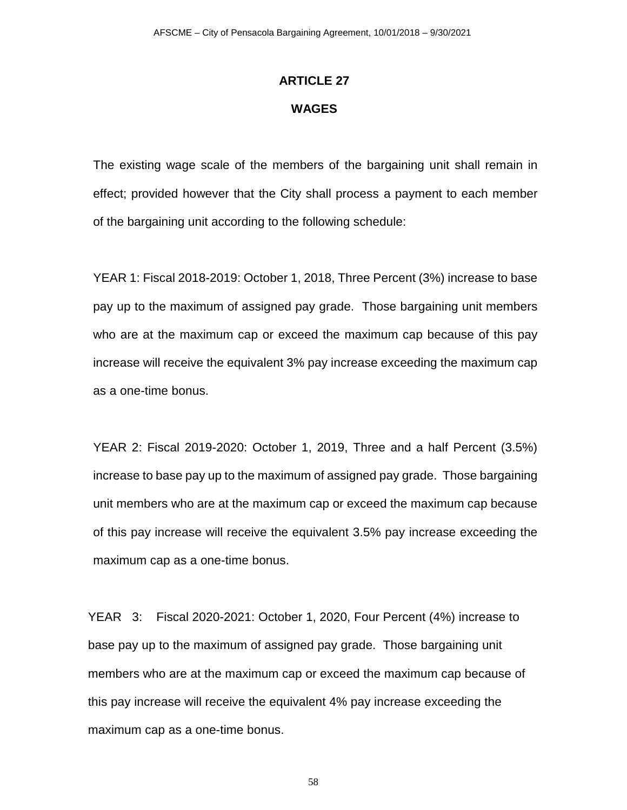# **ARTICLE 27 WAGES**

The existing wage scale of the members of the bargaining unit shall remain in effect; provided however that the City shall process a payment to each member of the bargaining unit according to the following schedule:

YEAR 1: Fiscal 2018-2019: October 1, 2018, Three Percent (3%) increase to base pay up to the maximum of assigned pay grade. Those bargaining unit members who are at the maximum cap or exceed the maximum cap because of this pay increase will receive the equivalent 3% pay increase exceeding the maximum cap as a one-time bonus.

YEAR 2: Fiscal 2019-2020: October 1, 2019, Three and a half Percent (3.5%) increase to base pay up to the maximum of assigned pay grade. Those bargaining unit members who are at the maximum cap or exceed the maximum cap because of this pay increase will receive the equivalent 3.5% pay increase exceeding the maximum cap as a one-time bonus.

YEAR 3: Fiscal 2020-2021: October 1, 2020, Four Percent (4%) increase to base pay up to the maximum of assigned pay grade. Those bargaining unit members who are at the maximum cap or exceed the maximum cap because of this pay increase will receive the equivalent 4% pay increase exceeding the maximum cap as a one-time bonus.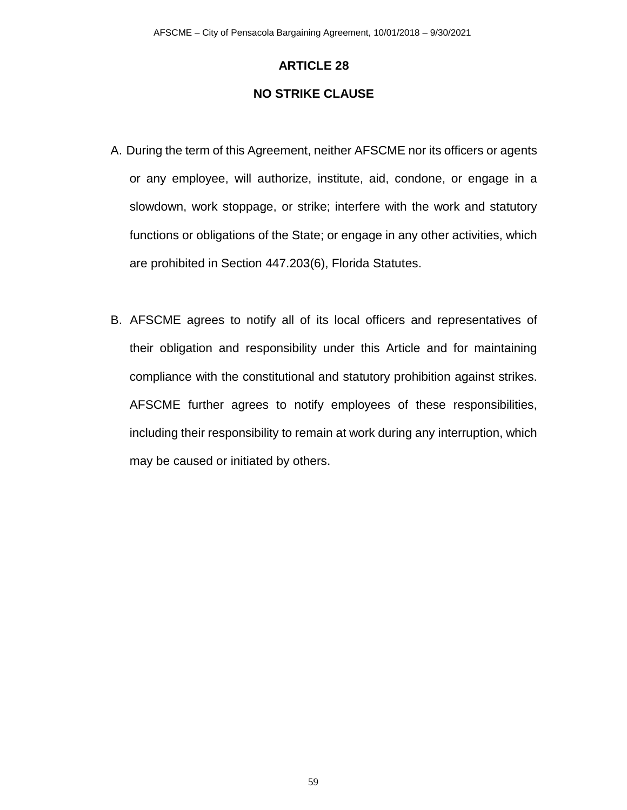### **NO STRIKE CLAUSE**

- A. During the term of this Agreement, neither AFSCME nor its officers or agents or any employee, will authorize, institute, aid, condone, or engage in a slowdown, work stoppage, or strike; interfere with the work and statutory functions or obligations of the State; or engage in any other activities, which are prohibited in Section 447.203(6), Florida Statutes.
- B. AFSCME agrees to notify all of its local officers and representatives of their obligation and responsibility under this Article and for maintaining compliance with the constitutional and statutory prohibition against strikes. AFSCME further agrees to notify employees of these responsibilities, including their responsibility to remain at work during any interruption, which may be caused or initiated by others.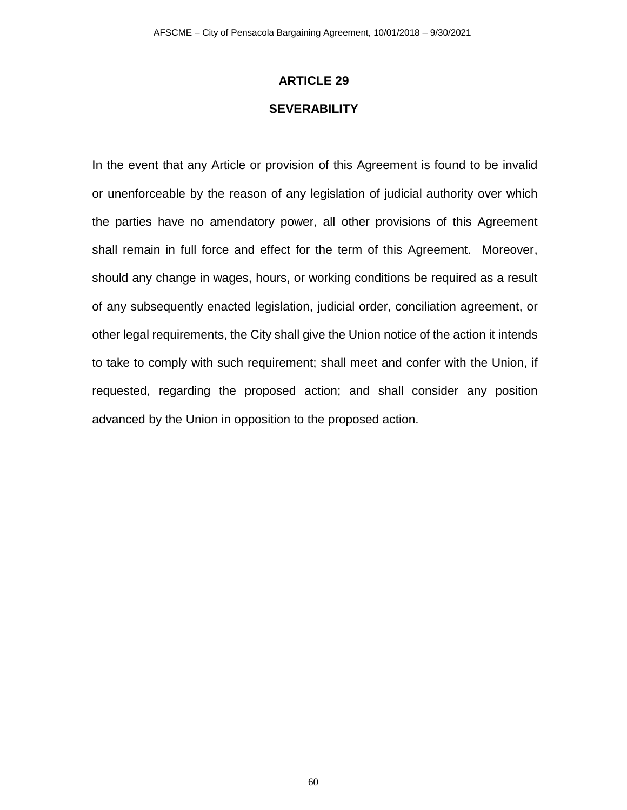### **SEVERABILITY**

In the event that any Article or provision of this Agreement is found to be invalid or unenforceable by the reason of any legislation of judicial authority over which the parties have no amendatory power, all other provisions of this Agreement shall remain in full force and effect for the term of this Agreement. Moreover, should any change in wages, hours, or working conditions be required as a result of any subsequently enacted legislation, judicial order, conciliation agreement, or other legal requirements, the City shall give the Union notice of the action it intends to take to comply with such requirement; shall meet and confer with the Union, if requested, regarding the proposed action; and shall consider any position advanced by the Union in opposition to the proposed action.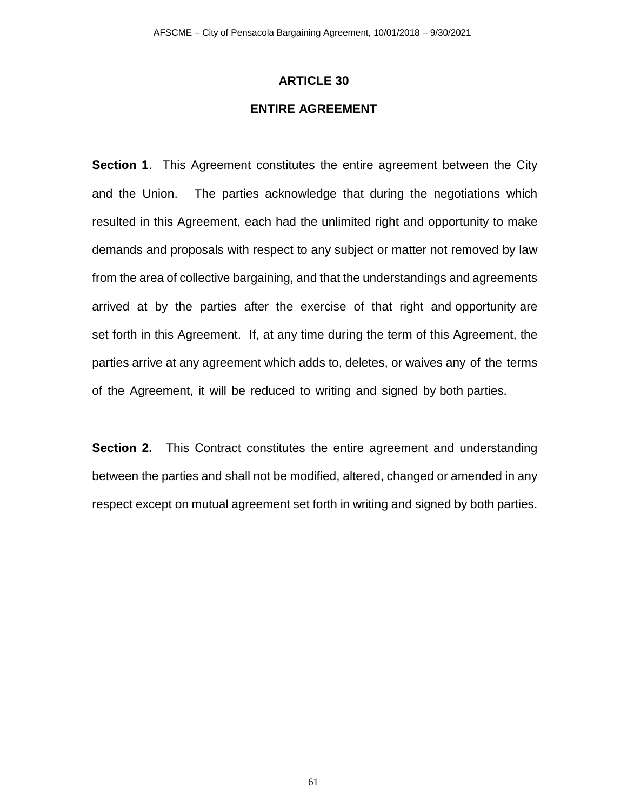## **ENTIRE AGREEMENT**

**Section 1**. This Agreement constitutes the entire agreement between the City and the Union. The parties acknowledge that during the negotiations which resulted in this Agreement, each had the unlimited right and opportunity to make demands and proposals with respect to any subject or matter not removed by law from the area of collective bargaining, and that the understandings and agreements arrived at by the parties after the exercise of that right and opportunity are set forth in this Agreement. If, at any time during the term of this Agreement, the parties arrive at any agreement which adds to, deletes, or waives any of the terms of the Agreement, it will be reduced to writing and signed by both parties.

**Section 2.** This Contract constitutes the entire agreement and understanding between the parties and shall not be modified, altered, changed or amended in any respect except on mutual agreement set forth in writing and signed by both parties.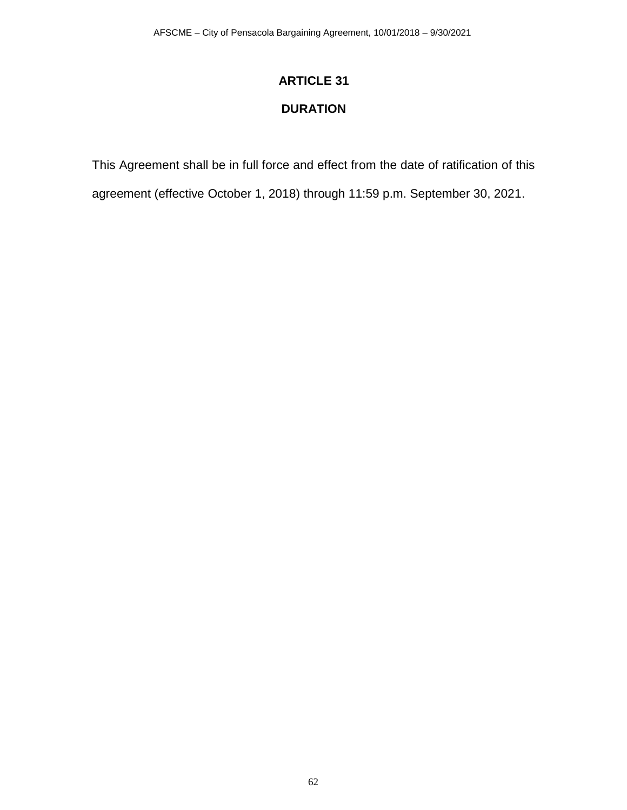# **DURATION**

This Agreement shall be in full force and effect from the date of ratification of this

agreement (effective October 1, 2018) through 11:59 p.m. September 30, 2021.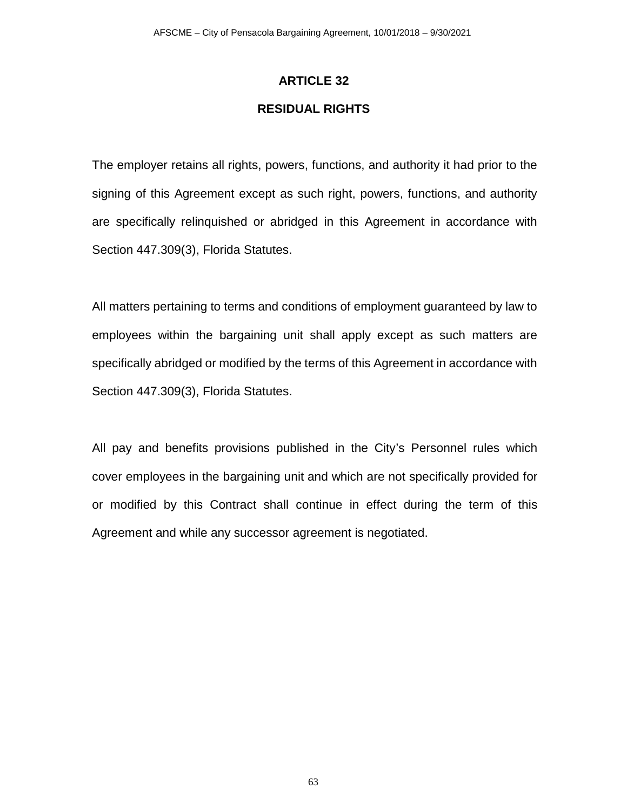### **RESIDUAL RIGHTS**

The employer retains all rights, powers, functions, and authority it had prior to the signing of this Agreement except as such right, powers, functions, and authority are specifically relinquished or abridged in this Agreement in accordance with Section 447.309(3), Florida Statutes.

All matters pertaining to terms and conditions of employment guaranteed by law to employees within the bargaining unit shall apply except as such matters are specifically abridged or modified by the terms of this Agreement in accordance with Section 447.309(3), Florida Statutes.

All pay and benefits provisions published in the City's Personnel rules which cover employees in the bargaining unit and which are not specifically provided for or modified by this Contract shall continue in effect during the term of this Agreement and while any successor agreement is negotiated.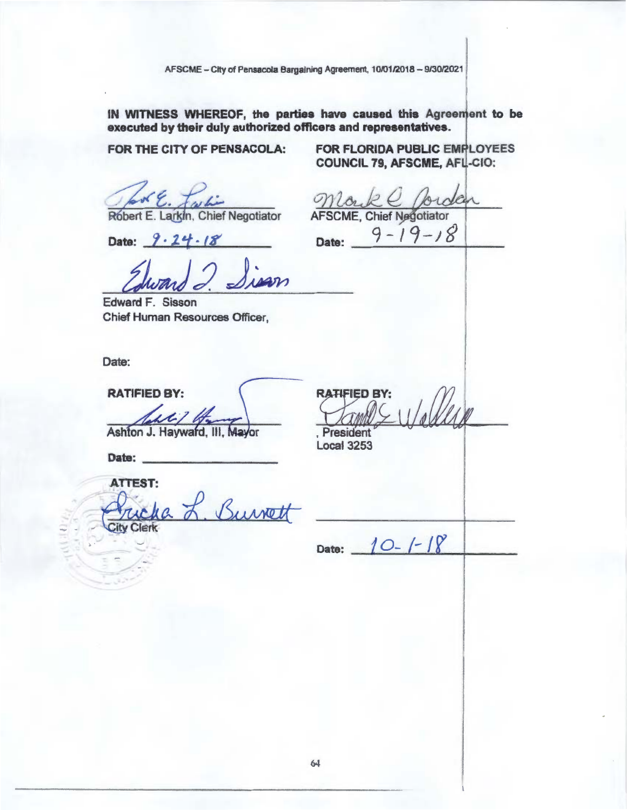AFSCME - City of Pensacola Bargaining Agreement, 10/01/2018 - 9/30/2021

IN WITNESS WHEREOF, the parties have caused this Agreement to be executed by their duly authorized officers and representatives.

FOR THE CITY OF PENSACOLA:

Robert E. Larkin, Chief Negotiator

Date:  $9.24.18$ 

Edward F. Sisson Chief Human Resources Officer,

Date:

**RATIFIED BY:** 

Ashton J. Hayward, III, Mayor

Date:

**ATTEST:** 

Burrett Clerk

FOR FLORIDA PUBLIC EMPLOYEES **COUNCIL 79, AFSCME, AFL-CIO:** 

**AFSCME, Chief Negotiator**  $9 - 19 - 18$ Date:

**RATIFIED BY:** 

President **Local 3253** 

Date:  $10-1-18$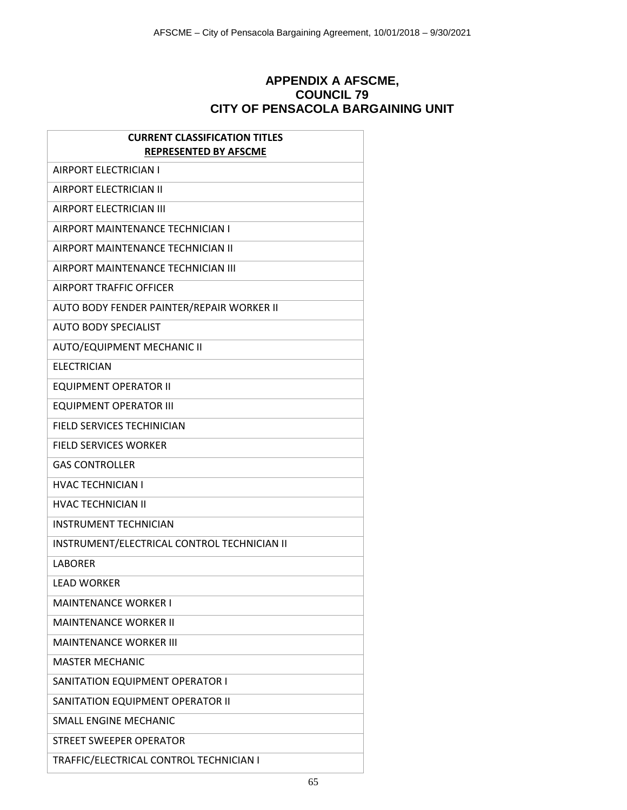## **APPENDIX A AFSCME, COUNCIL 79 CITY OF PENSACOLA BARGAINING UNIT**

| <b>CURRENT CLASSIFICATION TITLES</b><br><b>REPRESENTED BY AFSCME</b> |
|----------------------------------------------------------------------|
| <b>AIRPORT ELECTRICIAN I</b>                                         |
|                                                                      |
| <b>AIRPORT ELECTRICIAN II</b>                                        |
| AIRPORT ELECTRICIAN III                                              |
| AIRPORT MAINTENANCE TECHNICIAN I                                     |
| AIRPORT MAINTENANCE TECHNICIAN II                                    |
| AIRPORT MAINTENANCE TECHNICIAN III                                   |
| <b>AIRPORT TRAFFIC OFFICER</b>                                       |
| AUTO BODY FENDER PAINTER/REPAIR WORKER II                            |
| <b>AUTO BODY SPECIALIST</b>                                          |
| <b>AUTO/EQUIPMENT MECHANIC II</b>                                    |
| <b>ELECTRICIAN</b>                                                   |
| <b>EQUIPMENT OPERATOR II</b>                                         |
| <b>EQUIPMENT OPERATOR III</b>                                        |
| FIELD SERVICES TECHINICIAN                                           |
| <b>FIELD SERVICES WORKER</b>                                         |
| <b>GAS CONTROLLER</b>                                                |
| <b>HVAC TECHNICIAN I</b>                                             |
| <b>HVAC TECHNICIAN II</b>                                            |
| <b>INSTRUMENT TECHNICIAN</b>                                         |
| INSTRUMENT/ELECTRICAL CONTROL TECHNICIAN II                          |
| <b>LABORER</b>                                                       |
| LEAD WORKER                                                          |
| <b>MAINTENANCE WORKER I</b>                                          |
| <b>MAINTENANCE WORKER II</b>                                         |
| <b>MAINTENANCE WORKER III</b>                                        |
| <b>MASTER MECHANIC</b>                                               |
| SANITATION EQUIPMENT OPERATOR I                                      |
| SANITATION EQUIPMENT OPERATOR II                                     |
| <b>SMALL ENGINE MECHANIC</b>                                         |
| STREET SWEEPER OPERATOR                                              |
| TRAFFIC/ELECTRICAL CONTROL TECHNICIAN I                              |